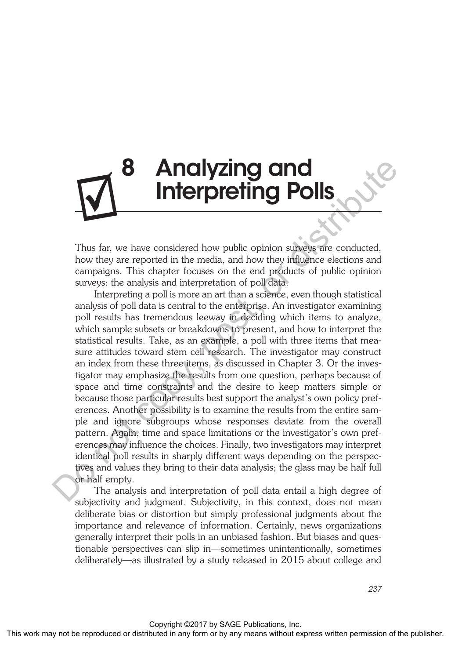# $\Delta$ 8 Analyzing and<br>Interpreting Pol Interpreting Polls

Thus far, we have considered how public opinion surveys are conducted, how they are reported in the media, and how they influence elections and campaigns. This chapter focuses on the end products of public opinion surveys: the analysis and interpretation of poll data.

Interpreting a poll is more an art than a science, even though statistical analysis of poll data is central to the enterprise. An investigator examining poll results has tremendous leeway in deciding which items to analyze, which sample subsets or breakdowns to present, and how to interpret the statistical results. Take, as an example, a poll with three items that measure attitudes toward stem cell research. The investigator may construct an index from these three items, as discussed in Chapter 3. Or the investigator may emphasize the results from one question, perhaps because of space and time constraints and the desire to keep matters simple or because those particular results best support the analyst's own policy preferences. Another possibility is to examine the results from the entire sample and ignore subgroups whose responses deviate from the overall pattern. Again, time and space limitations or the investigator's own preferences may influence the choices. Finally, two investigators may interpret identical poll results in sharply different ways depending on the perspectives and values they bring to their data analysis; the glass may be half full or half empty. **SEE A COLUT AND ANNIS CONSTRANT CONSTRANT CONSTRANT CONSTRANT THIS far, we have considered how public options any<br>expect of the media, and how they influence elections and campaigns. This chapter focuses on the end produc** 

The analysis and interpretation of poll data entail a high degree of subjectivity and judgment. Subjectivity, in this context, does not mean deliberate bias or distortion but simply professional judgments about the importance and relevance of information. Certainly, news organizations generally interpret their polls in an unbiased fashion. But biases and questionable perspectives can slip in—sometimes unintentionally, sometimes deliberately—as illustrated by a study released in 2015 about college and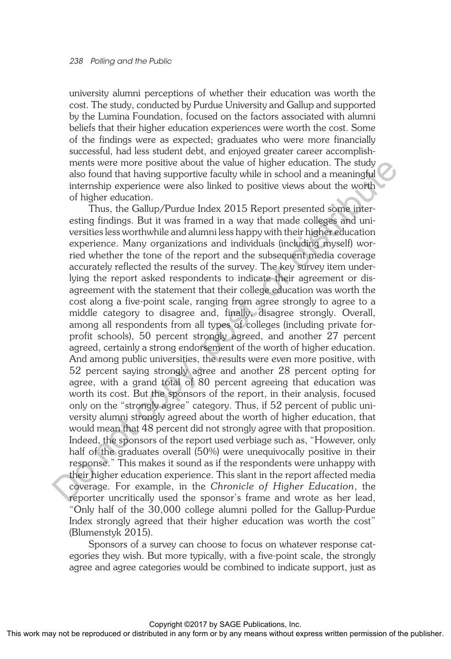university alumni perceptions of whether their education was worth the cost. The study, conducted by Purdue University and Gallup and supported by the Lumina Foundation, focused on the factors associated with alumni beliefs that their higher education experiences were worth the cost. Some of the findings were as expected; graduates who were more financially successful, had less student debt, and enjoyed greater career accomplishments were more positive about the value of higher education. The study also found that having supportive faculty while in school and a meaningful internship experience were also linked to positive views about the worth of higher education.

Thus, the Gallup/Purdue Index 2015 Report presented some interesting findings. But it was framed in a way that made colleges and universities less worthwhile and alumni less happy with their higher education experience. Many organizations and individuals (including myself) worried whether the tone of the report and the subsequent media coverage accurately reflected the results of the survey. The key survey item underlying the report asked respondents to indicate their agreement or disagreement with the statement that their college education was worth the cost along a five-point scale, ranging from agree strongly to agree to a middle category to disagree and, finally, disagree strongly. Overall, among all respondents from all types of colleges (including private forprofit schools), 50 percent strongly agreed, and another 27 percent agreed, certainly a strong endorsement of the worth of higher education. And among public universities, the results were even more positive, with 52 percent saying strongly agree and another 28 percent opting for agree, with a grand total of 80 percent agreeing that education was worth its cost. But the sponsors of the report, in their analysis, focused only on the "strongly agree" category. Thus, if 52 percent of public university alumni strongly agreed about the worth of higher education, that would mean that 48 percent did not strongly agree with that proposition. Indeed, the sponsors of the report used verbiage such as, "However, only half of the graduates overall (50%) were unequivocally positive in their response." This makes it sound as if the respondents were unhappy with their higher education experience. This slant in the report affected media coverage. For example, in the *Chronicle of Higher Education*, the reporter uncritically used the sponsor's frame and wrote as her lead, "Only half of the 30,000 college alumni polled for the Gallup-Purdue Index strongly agreed that their higher education was worth the cost" (Blumenstyk 2015). ments were more positive about the value of higher education. The study of higher sampled internship experience were also linked to positive views about the worth of higher education.<br>
Thus, the Gallup/Purdue Index 2015 Re

Sponsors of a survey can choose to focus on whatever response categories they wish. But more typically, with a five-point scale, the strongly agree and agree categories would be combined to indicate support, just as

Copyright ©2017 by SAGE Publications, Inc.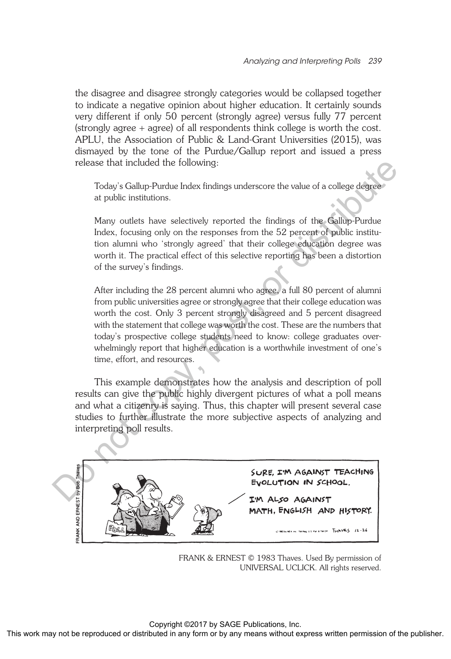the disagree and disagree strongly categories would be collapsed together to indicate a negative opinion about higher education. It certainly sounds very different if only 50 percent (strongly agree) versus fully 77 percent (strongly agree + agree) of all respondents think college is worth the cost. APLU, the Association of Public & Land-Grant Universities (2015), was dismayed by the tone of the Purdue/Gallup report and issued a press release that included the following:

Today's Gallup-Purdue Index findings underscore the value of a college degree at public institutions.

Many outlets have selectively reported the findings of the Gallup-Purdue Index, focusing only on the responses from the 52 percent of public institution alumni who 'strongly agreed' that their college education degree was worth it. The practical effect of this selective reporting has been a distortion of the survey's findings.

After including the 28 percent alumni who agree, a full 80 percent of alumni from public universities agree or strongly agree that their college education was worth the cost. Only 3 percent strongly disagreed and 5 percent disagreed with the statement that college was worth the cost. These are the numbers that today's prospective college students need to know: college graduates overwhelmingly report that higher education is a worthwhile investment of one's time, effort, and resources. release that included the tollowing:<br>
Today's Gallup-Purdue Index findings underscore the value of a college degree<br>
at public institutions.<br>
Many outlets have selectively reported the findings of the Gallup-Purdue<br>
Index

This example demonstrates how the analysis and description of poll results can give the public highly divergent pictures of what a poll means and what a citizenry is saying. Thus, this chapter will present several case studies to further illustrate the more subjective aspects of analyzing and interpreting poll results.



FRANK & ERNEST © 1983 Thaves. Used By permission of UNIVERSAL UCLICK. All rights reserved.

Copyright ©2017 by SAGE Publications, Inc.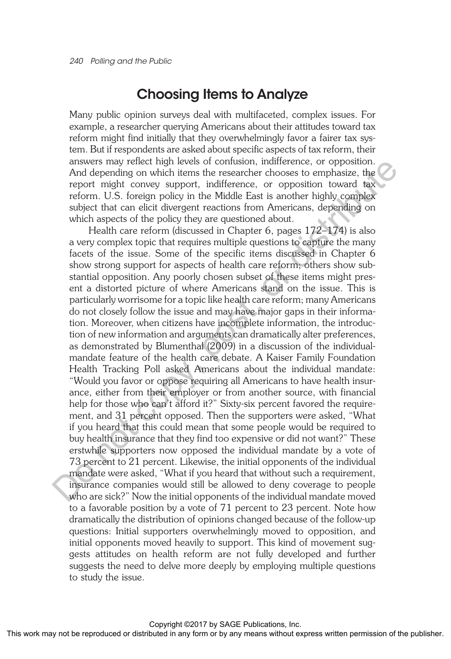### Choosing Items to Analyze

Many public opinion surveys deal with multifaceted, complex issues. For example, a researcher querying Americans about their attitudes toward tax reform might find initially that they overwhelmingly favor a fairer tax system. But if respondents are asked about specific aspects of tax reform, their answers may reflect high levels of confusion, indifference, or opposition. And depending on which items the researcher chooses to emphasize, the report might convey support, indifference, or opposition toward tax reform. U.S. foreign policy in the Middle East is another highly complex subject that can elicit divergent reactions from Americans, depending on which aspects of the policy they are questioned about.

Health care reform (discussed in Chapter 6, pages 172–174) is also a very complex topic that requires multiple questions to capture the many facets of the issue. Some of the specific items discussed in Chapter 6 show strong support for aspects of health care reform; others show substantial opposition. Any poorly chosen subset of these items might present a distorted picture of where Americans stand on the issue. This is particularly worrisome for a topic like health care reform; many Americans do not closely follow the issue and may have major gaps in their information. Moreover, when citizens have incomplete information, the introduction of new information and arguments can dramatically alter preferences, as demonstrated by Blumenthal (2009) in a discussion of the individualmandate feature of the health care debate. A Kaiser Family Foundation Health Tracking Poll asked Americans about the individual mandate: "Would you favor or oppose requiring all Americans to have health insurance, either from their employer or from another source, with financial help for those who can't afford it?" Sixty-six percent favored the requirement, and 31 percent opposed. Then the supporters were asked, "What if you heard that this could mean that some people would be required to buy health insurance that they find too expensive or did not want?" These erstwhile supporters now opposed the individual mandate by a vote of 73 percent to 21 percent. Likewise, the initial opponents of the individual mandate were asked, "What if you heard that without such a requirement, insurance companies would still be allowed to deny coverage to people who are sick?" Now the initial opponents of the individual mandate moved to a favorable position by a vote of 71 percent to 23 percent. Note how dramatically the distribution of opinions changed because of the follow-up questions: Initial supporters overwhelmingly moved to opposition, and initial opponents moved heavily to support. This kind of movement suggests attitudes on health reform are not fully developed and further suggests the need to delve more deeply by employing multiple questions to study the issue. answers may relate than levels of contusion, matterenee, or opposition.<br>And depending on which items the researcher chooses to emphasize, the<br>report might convey support, indifference, or opposition toward tax<br>reform. U.S.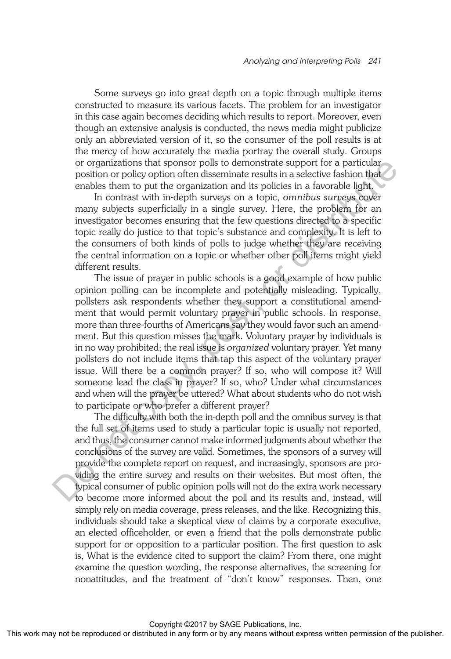Some surveys go into great depth on a topic through multiple items constructed to measure its various facets. The problem for an investigator in this case again becomes deciding which results to report. Moreover, even though an extensive analysis is conducted, the news media might publicize only an abbreviated version of it, so the consumer of the poll results is at the mercy of how accurately the media portray the overall study. Groups or organizations that sponsor polls to demonstrate support for a particular position or policy option often disseminate results in a selective fashion that enables them to put the organization and its policies in a favorable light.

In contrast with in-depth surveys on a topic, *omnibus surveys* cover many subjects superficially in a single survey. Here, the problem for an investigator becomes ensuring that the few questions directed to a specific topic really do justice to that topic's substance and complexity. It is left to the consumers of both kinds of polls to judge whether they are receiving the central information on a topic or whether other poll items might yield different results.

The issue of prayer in public schools is a good example of how public opinion polling can be incomplete and potentially misleading. Typically, pollsters ask respondents whether they support a constitutional amendment that would permit voluntary prayer in public schools. In response, more than three-fourths of Americans say they would favor such an amendment. But this question misses the mark. Voluntary prayer by individuals is in no way prohibited; the real issue is *organized* voluntary prayer. Yet many pollsters do not include items that tap this aspect of the voluntary prayer issue. Will there be a common prayer? If so, who will compose it? Will someone lead the class in prayer? If so, who? Under what circumstances and when will the prayer be uttered? What about students who do not wish to participate or who prefer a different prayer? or organizations that sponsor polis to demonstrate support for a particular<br>position or policy option often disseminate results in a selective fashion that<br>enables them to put the organization and its policies in a favorab

The difficulty with both the in-depth poll and the omnibus survey is that the full set of items used to study a particular topic is usually not reported, and thus, the consumer cannot make informed judgments about whether the conclusions of the survey are valid. Sometimes, the sponsors of a survey will provide the complete report on request, and increasingly, sponsors are providing the entire survey and results on their websites. But most often, the typical consumer of public opinion polls will not do the extra work necessary to become more informed about the poll and its results and, instead, will simply rely on media coverage, press releases, and the like. Recognizing this, individuals should take a skeptical view of claims by a corporate executive, an elected officeholder, or even a friend that the polls demonstrate public support for or opposition to a particular position. The first question to ask is, What is the evidence cited to support the claim? From there, one might examine the question wording, the response alternatives, the screening for nonattitudes, and the treatment of "don't know" responses. Then, one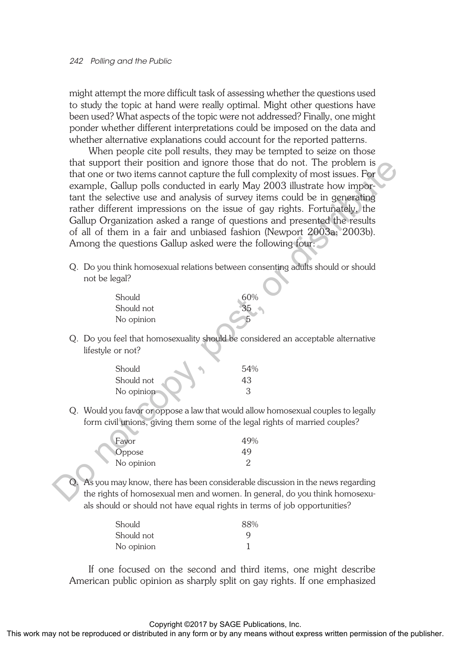#### *242 Polling and the Public*

might attempt the more difficult task of assessing whether the questions used to study the topic at hand were really optimal. Might other questions have been used? What aspects of the topic were not addressed? Finally, one might ponder whether different interpretations could be imposed on the data and whether alternative explanations could account for the reported patterns.

When people cite poll results, they may be tempted to seize on those that support their position and ignore those that do not. The problem is that one or two items cannot capture the full complexity of most issues. For example, Gallup polls conducted in early May 2003 illustrate how important the selective use and analysis of survey items could be in generating rather different impressions on the issue of gay rights. Fortunately, the Gallup Organization asked a range of questions and presented the results of all of them in a fair and unbiased fashion (Newport 2003a; 2003b). Among the questions Gallup asked were the following four: that support their position and ignore those that do not. The problem is<br>that one or two items cannot capture the full complexity of most issues. For<br>example, Gallup polls conducted in early May 2003 illustrate how impor-

Q. Do you think homosexual relations between consenting adults should or should not be legal?

| Should     | 60% |
|------------|-----|
| Should not |     |
| No opinion |     |

Q. Do you feel that homosexuality should be considered an acceptable alternative lifestyle or not?

| Should     | 54% |
|------------|-----|
| Should not | 43  |
| No opinion |     |

Q. Would you favor or oppose a law that would allow homosexual couples to legally form civil unions, giving them some of the legal rights of married couples?

| Favor      | 49% |
|------------|-----|
| Oppose     | 49  |
| No opinion |     |

As you may know, there has been considerable discussion in the news regarding the rights of homosexual men and women. In general, do you think homosexuals should or should not have equal rights in terms of job opportunities?

| Should     | 88% |
|------------|-----|
| Should not | Q   |
| No opinion |     |

If one focused on the second and third items, one might describe American public opinion as sharply split on gay rights. If one emphasized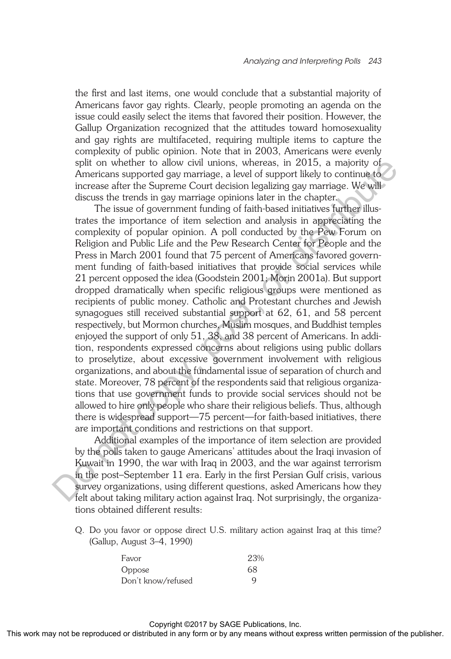the first and last items, one would conclude that a substantial majority of Americans favor gay rights. Clearly, people promoting an agenda on the issue could easily select the items that favored their position. However, the Gallup Organization recognized that the attitudes toward homosexuality and gay rights are multifaceted, requiring multiple items to capture the complexity of public opinion. Note that in 2003, Americans were evenly split on whether to allow civil unions, whereas, in 2015, a majority of Americans supported gay marriage, a level of support likely to continue to increase after the Supreme Court decision legalizing gay marriage. We will discuss the trends in gay marriage opinions later in the chapter.

The issue of government funding of faith-based initiatives further illustrates the importance of item selection and analysis in appreciating the complexity of popular opinion. A poll conducted by the Pew Forum on Religion and Public Life and the Pew Research Center for People and the Press in March 2001 found that 75 percent of Americans favored government funding of faith-based initiatives that provide social services while 21 percent opposed the idea (Goodstein 2001; Morin 2001a). But support dropped dramatically when specific religious groups were mentioned as recipients of public money. Catholic and Protestant churches and Jewish synagogues still received substantial support at 62, 61, and 58 percent respectively, but Mormon churches, Muslim mosques, and Buddhist temples enjoyed the support of only 51, 38, and 38 percent of Americans. In addition, respondents expressed concerns about religions using public dollars to proselytize, about excessive government involvement with religious organizations, and about the fundamental issue of separation of church and state. Moreover, 78 percent of the respondents said that religious organizations that use government funds to provide social services should not be allowed to hire only people who share their religious beliefs. Thus, although there is widespread support—75 percent—for faith-based initiatives, there are important conditions and restrictions on that support. split on whether to allow civil unions, whereas, in 2015, a majority Americans supported gay marriage. alevel of support likely to continue to increase after the Suppreme Court decision legalizing gay marriage. We will dis

Additional examples of the importance of item selection are provided by the polls taken to gauge Americans' attitudes about the Iraqi invasion of Kuwait in 1990, the war with Iraq in 2003, and the war against terrorism in the post–September 11 era. Early in the first Persian Gulf crisis, various survey organizations, using different questions, asked Americans how they felt about taking military action against Iraq. Not surprisingly, the organizations obtained different results:

Q. Do you favor or oppose direct U.S. military action against Iraq at this time? (Gallup, August 3–4, 1990)

| Favor              | 23% |
|--------------------|-----|
| Oppose             | 68  |
| Don't know/refused | Q   |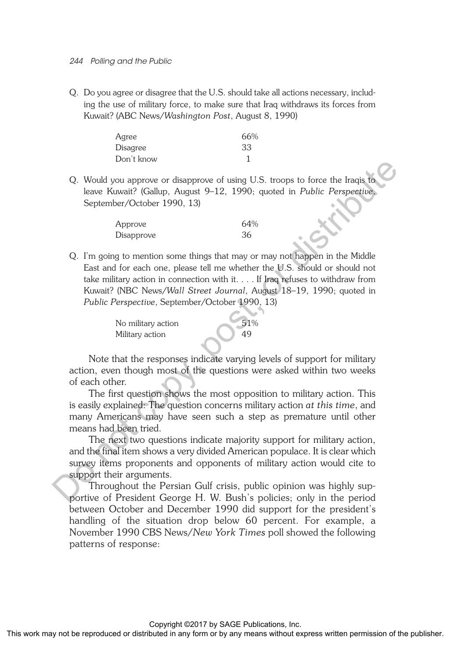Q. Do you agree or disagree that the U.S. should take all actions necessary, including the use of military force, to make sure that Iraq withdraws its forces from Kuwait? (ABC News/*Washington Post*, August 8, 1990)

| Agree      | 66% |
|------------|-----|
| Disagree   | 33  |
| Don't know |     |

Q. Would you approve or disapprove of using U.S. troops to force the Iraqis to leave Kuwait? (Gallup, August 9–12, 1990; quoted in *Public Perspective*, September/October 1990, 13)

| Approve    | 64% |
|------------|-----|
| Disapprove | 36  |

Q. I'm going to mention some things that may or may not happen in the Middle East and for each one, please tell me whether the U.S. should or should not take military action in connection with it. . . . If Iraq refuses to withdraw from Kuwait? (NBC News/*Wall Street Journal*, August 18–19, 1990; quoted in *Public Perspective*, September/October 1990, 13) 2. Would you approve of using U.S. troops to force the lragis to<br>
leave Kuwait? (Gallup, August 9-12, 1990; quoted in Public Perspective,<br>
September/October 1990, 13)<br>
Approve<br>
Disapprove<br>  $64\%$ <br>
Disapprove<br>
Disapprove<br>

| No military action | 51% |
|--------------------|-----|
| Military action    | 49  |

Note that the responses indicate varying levels of support for military action, even though most of the questions were asked within two weeks of each other.

The first question shows the most opposition to military action. This is easily explained: The question concerns military action *at this time*, and many Americans may have seen such a step as premature until other means had been tried.

The next two questions indicate majority support for military action, and the final item shows a very divided American populace. It is clear which survey items proponents and opponents of military action would cite to support their arguments.

Throughout the Persian Gulf crisis, public opinion was highly supportive of President George H. W. Bush's policies; only in the period between October and December 1990 did support for the president's handling of the situation drop below 60 percent. For example, a November 1990 CBS News/*New York Times* poll showed the following patterns of response: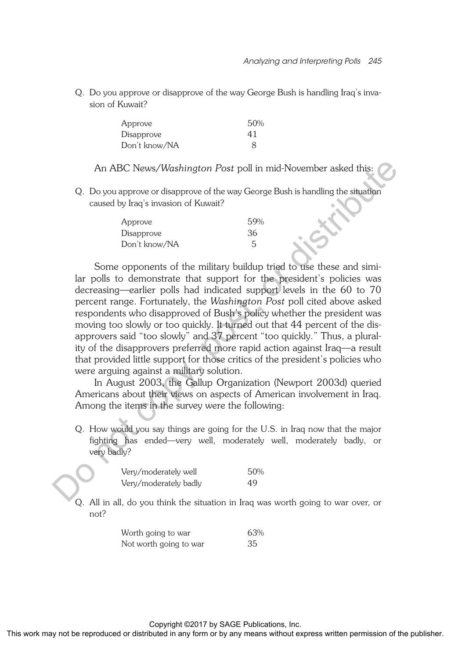Q. Do you approve or disapprove of the way George Bush is handling Iraq's invasion of Kuwait?

| Approve       | 50% |
|---------------|-----|
| Disapprove    | 41  |
| Don't know/NA | 8   |

An ABC News/*Washington Post* poll in mid-November asked this:

Q. Do you approve or disapprove of the way George Bush is handling the situation caused by Iraq's invasion of Kuwait?

| Approve       | 59% |
|---------------|-----|
| Disapprove    | 36  |
| Don't know/NA | 5   |

Some opponents of the military buildup tried to use these and similar polls to demonstrate that support for the president's policies was decreasing—earlier polls had indicated support levels in the 60 to 70 percent range. Fortunately, the *Washington Post* poll cited above asked respondents who disapproved of Bush's policy whether the president was moving too slowly or too quickly. It turned out that 44 percent of the disapprovers said "too slowly" and 37 percent "too quickly." Thus, a plurality of the disapprovers preferred more rapid action against Iraq—a result that provided little support for those critics of the president's policies who were arguing against a military solution. An ABC News/Washington Post poll in mid-November asked this:<br>
Q. Do you approve or disapprove of the way George Bush is handling the situation<br>
caused by Iraq's invasion of Kuvait?<br>
Approve<br>
Disapprove<br>
Disapprove<br>
Disapp

In August 2003, the Gallup Organization (Newport 2003d) queried Americans about their views on aspects of American involvement in Iraq. Among the items in the survey were the following:

Q. How would you say things are going for the U.S. in Iraq now that the major fighting has ended—very well, moderately well, moderately badly, or very badly?

| Very/moderately well  | 50% |
|-----------------------|-----|
| Very/moderately badly | 49  |

Q. All in all, do you think the situation in Iraq was worth going to war over, or not?

| Worth going to war     | 63% |
|------------------------|-----|
| Not worth going to war | 35  |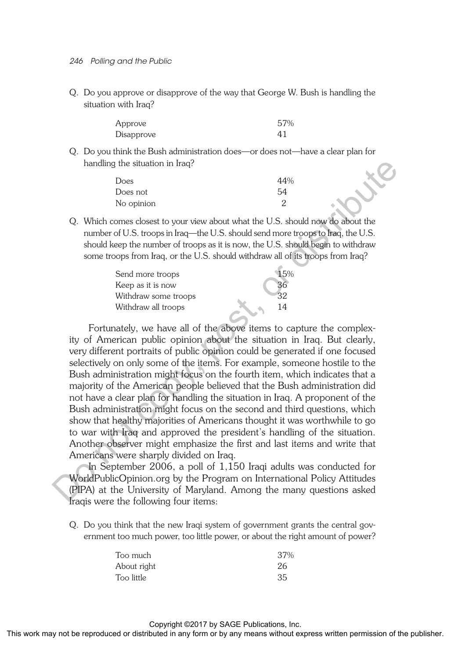*246 Polling and the Public*

Q. Do you approve or disapprove of the way that George W. Bush is handling the situation with Iraq?

| Approve    | 57% |
|------------|-----|
| Disapprove | 41  |

Q. Do you think the Bush administration does—or does not—have a clear plan for handling the situation in Iraq?

| Does       | 44% |
|------------|-----|
| Does not   | 54  |
| No opinion |     |

Q. Which comes closest to your view about what the U.S. should now do about the number of U.S. troops in Iraq—the U.S. should send more troops to Iraq, the U.S. should keep the number of troops as it is now, the U.S. should begin to withdraw some troops from Iraq, or the U.S. should withdraw all of its troops from Iraq?

| Send more troops                          | 15% |
|-------------------------------------------|-----|
|                                           | 36  |
|                                           | 32  |
| Withdraw all troops                       | 14  |
| Keep as it is now<br>Withdraw some troops |     |

Fortunately, we have all of the above items to capture the complexity of American public opinion about the situation in Iraq. But clearly, very different portraits of public opinion could be generated if one focused selectively on only some of the items. For example, someone hostile to the Bush administration might focus on the fourth item, which indicates that a majority of the American people believed that the Bush administration did not have a clear plan for handling the situation in Iraq. A proponent of the Bush administration might focus on the second and third questions, which show that healthy majorities of Americans thought it was worthwhile to go to war with Iraq and approved the president's handling of the situation. Another observer might emphasize the first and last items and write that Americans were sharply divided on Iraq. handling the situation in Iraq?<br>
Does not<br>  $^{24\%}$ <br>
Does not<br>
No opinion<br>
Does not copy, the US, should now does doout the<br>
number of U.S. troops in Iraq—the U.S. should searl none troops to Rea, the U.S.<br>
should keep th

In September 2006, a poll of 1,150 Iraqi adults was conducted for WorldPublicOpinion.org by the Program on International Policy Attitudes (PIPA) at the University of Maryland. Among the many questions asked Iraqis were the following four items:

Q. Do you think that the new Iraqi system of government grants the central government too much power, too little power, or about the right amount of power?

| Too much    | 37% |
|-------------|-----|
| About right | 26  |
| Too little  | 35  |

Copyright ©2017 by SAGE Publications, Inc.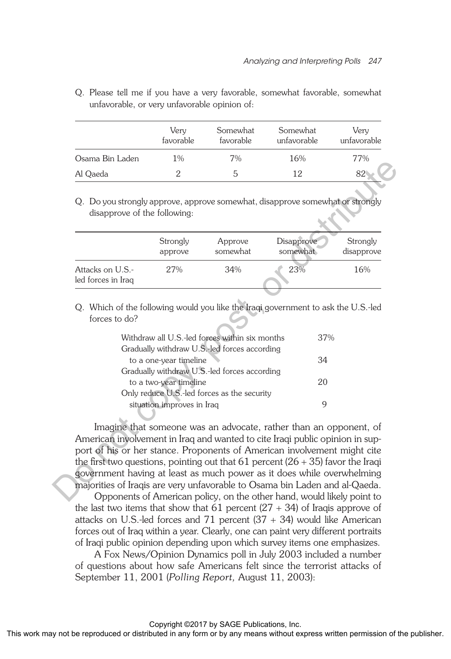Q. Please tell me if you have a very favorable, somewhat favorable, somewhat unfavorable, or very unfavorable opinion of:

|                 | Verv<br>favorable | Somewhat<br>favorable | Somewhat<br>unfavorable | Verv<br>unfavorable |
|-----------------|-------------------|-----------------------|-------------------------|---------------------|
| Osama Bin Laden | $1\%$             | 7%                    | 16%                     | 77%                 |
| Al Qaeda        |                   | .5                    | 12                      | 82                  |

Q. Do you strongly approve, approve somewhat, disapprove somewhat or strongly disapprove of the following:

|                                        | Strongly<br>approve | Approve<br>somewhat | Disapprove<br>somewhat | Strongly<br>disapprove |
|----------------------------------------|---------------------|---------------------|------------------------|------------------------|
| Attacks on U.S.-<br>led forces in Iraq | 2.7%                | 34%                 | 23%                    | 16%                    |
|                                        |                     |                     |                        |                        |

Q. Which of the following would you like the Iraqi government to ask the U.S.-led forces to do?

| Withdraw all U.S.-led forces within six months | 37% |
|------------------------------------------------|-----|
| Gradually withdraw U.S.-led forces according   |     |
| to a one-year timeline                         | 34  |
| Gradually withdraw U.S.-led forces according   |     |
| to a two-year timeline                         | 20  |
| Only reduce U.S.-led forces as the security    |     |
| situation improves in Iraq                     | q   |
|                                                |     |

Imagine that someone was an advocate, rather than an opponent, of American involvement in Iraq and wanted to cite Iraqi public opinion in support of his or her stance. Proponents of American involvement might cite the first two questions, pointing out that  $61$  percent ( $26 + 35$ ) favor the Iraqi government having at least as much power as it does while overwhelming majorities of Iraqis are very unfavorable to Osama bin Laden and al-Qaeda. All Qaeda<br>
2 5 5 12 62<br>
Al Qaeda<br>
2 5 5 12 62<br>
C. Do you strongly approve, approve somewhat, disapprove somewhat or strongly<br>
4 shopprove of the following<br>
9 shopprove somewhat somewhat<br>
9 shopprove somewhat<br>
9 shopprove

Opponents of American policy, on the other hand, would likely point to the last two items that show that 61 percent  $(27 + 34)$  of Iraqis approve of attacks on U.S.-led forces and 71 percent  $(37 + 34)$  would like American forces out of Iraq within a year. Clearly, one can paint very different portraits of Iraqi public opinion depending upon which survey items one emphasizes.

A Fox News/Opinion Dynamics poll in July 2003 included a number of questions about how safe Americans felt since the terrorist attacks of September 11, 2001 (*Polling Report,* August 11, 2003):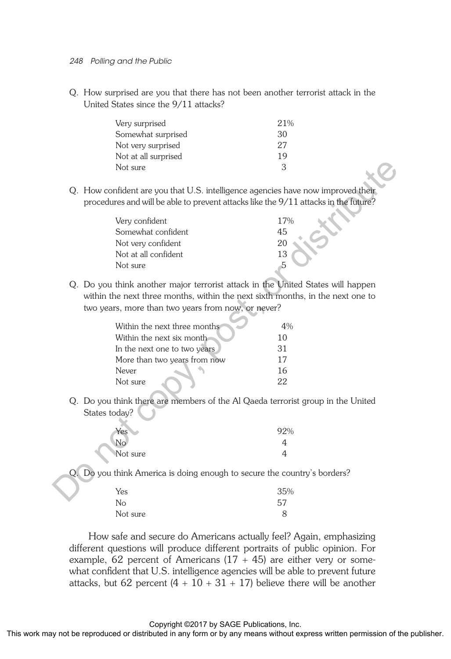#### *248 Polling and the Public*

Q. How surprised are you that there has not been another terrorist attack in the United States since the 9/11 attacks?

| Very surprised       | 21% |
|----------------------|-----|
| Somewhat surprised   | 30  |
| Not very surprised   | 27  |
| Not at all surprised | 19  |
| Not sure             | 3   |
|                      |     |

| Very confident       | 17% |
|----------------------|-----|
| Somewhat confident   | 45  |
| Not very confident   | 20  |
| Not at all confident | 13  |
| Not sure             |     |

|    | Not sure                                                                                                                                                                                                                | 3                                |  |
|----|-------------------------------------------------------------------------------------------------------------------------------------------------------------------------------------------------------------------------|----------------------------------|--|
|    | Q. How confident are you that U.S. intelligence agencies have now improved their<br>procedures and will be able to prevent attacks like the 9/11 attacks in the future?                                                 |                                  |  |
|    | Very confident<br>Somewhat confident<br>Not very confident<br>Not at all confident<br>Not sure                                                                                                                          | 17%<br>45<br>20<br>13<br>5       |  |
|    | Q. Do you think another major terrorist attack in the United States will happen<br>within the next three months, within the next sixth months, in the next one to<br>two years, more than two years from now, or never? |                                  |  |
|    | Within the next three months<br>Within the next six month<br>In the next one to two years<br>More than two years from now<br>Never<br>Not sure                                                                          | 4%<br>10<br>31<br>17<br>16<br>22 |  |
|    | Q. Do you think there are members of the Al Qaeda terrorist group in the United<br>States today?                                                                                                                        |                                  |  |
|    | Yes<br>No<br>Not sure                                                                                                                                                                                                   | 92%<br>4<br>4                    |  |
| Q. | Do you think America is doing enough to secure the country's borders?                                                                                                                                                   |                                  |  |
|    | Yes                                                                                                                                                                                                                     | 35%<br>ΓΠ                        |  |

| Yes            | 92% |
|----------------|-----|
| N <sub>o</sub> |     |
| Not sure       |     |

| Yes      | 35% |
|----------|-----|
| No       | 57  |
| Not sure | 8   |

How safe and secure do Americans actually feel? Again, emphasizing different questions will produce different portraits of public opinion. For example, 62 percent of Americans  $(17 + 45)$  are either very or somewhat confident that U.S. intelligence agencies will be able to prevent future attacks, but 62 percent  $(4 + 10 + 31 + 17)$  believe there will be another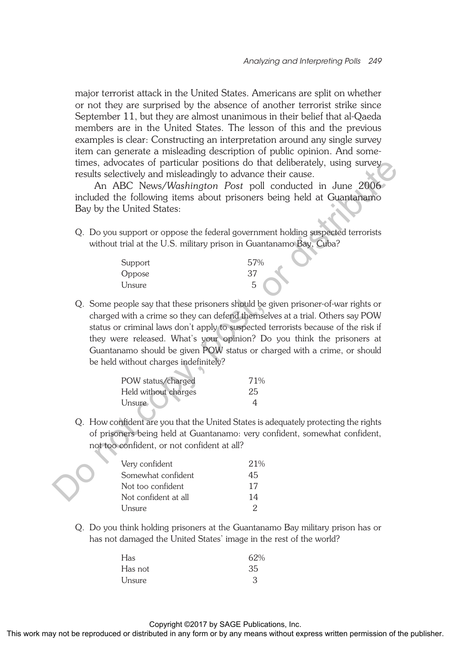major terrorist attack in the United States. Americans are split on whether or not they are surprised by the absence of another terrorist strike since September 11, but they are almost unanimous in their belief that al-Qaeda members are in the United States. The lesson of this and the previous examples is clear: Constructing an interpretation around any single survey item can generate a misleading description of public opinion. And sometimes, advocates of particular positions do that deliberately, using survey results selectively and misleadingly to advance their cause.

An ABC News/*Washington Post* poll conducted in June 2006 included the following items about prisoners being held at Guantanamo Bay by the United States:

Q. Do you support or oppose the federal government holding suspected terrorists without trial at the U.S. military prison in Guantanamo Bay, Cuba?

| Support | 57% |
|---------|-----|
| Oppose  | 37  |
| Unsure  |     |

Q. Some people say that these prisoners should be given prisoner-of-war rights or charged with a crime so they can defend themselves at a trial. Others say POW status or criminal laws don't apply to suspected terrorists because of the risk if they were released. What's your opinion? Do you think the prisoners at Guantanamo should be given POW status or charged with a crime, or should be held without charges indefinitely? times, advocates of particular positions do that deliberately, using survey<br>
results selectively and misleadingly to advance their cause.<br>
An ABC News/Washington Post poll conducted in June 2006<br>
included the following ti

| POW status/charged   | 71% |
|----------------------|-----|
| Held without charges | 25  |
| Unsure               | Δ   |

Q. How confident are you that the United States is adequately protecting the rights of prisoners being held at Guantanamo: very confident, somewhat confident, not too confident, or not confident at all?

| Very confident       | 21% |
|----------------------|-----|
| Somewhat confident   | 45  |
| Not too confident    | 17  |
| Not confident at all | 14  |
| Unsure               | 2   |

Q. Do you think holding prisoners at the Guantanamo Bay military prison has or has not damaged the United States' image in the rest of the world?

| Has     | 62% |
|---------|-----|
| Has not | 35  |
| Unsure  |     |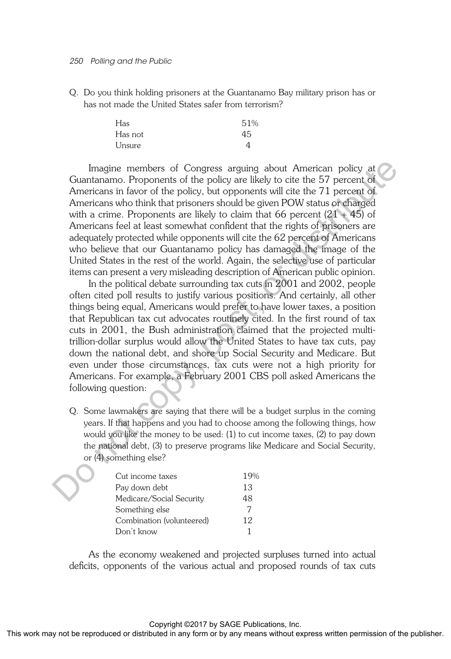Q. Do you think holding prisoners at the Guantanamo Bay military prison has or has not made the United States safer from terrorism?

| Has     | 51% |
|---------|-----|
| Has not | 45  |
| Unsure  | 4   |

Imagine members of Congress arguing about American policy at Guantanamo. Proponents of the policy are likely to cite the 57 percent of Americans in favor of the policy, but opponents will cite the 71 percent of Americans who think that prisoners should be given POW status or charged with a crime. Proponents are likely to claim that 66 percent  $(21 + 45)$  of Americans feel at least somewhat confident that the rights of prisoners are adequately protected while opponents will cite the 62 percent of Americans who believe that our Guantanamo policy has damaged the image of the United States in the rest of the world. Again, the selective use of particular items can present a very misleading description of American public opinion. Imagine members of Congress arguing about American policy at<br>
Guantamano. Proponents of the policy out opponents will cite the 57 percent of<br>
Americans in favor of the policy, but opponents will cite the 71 percent of<br>
Am

In the political debate surrounding tax cuts in 2001 and 2002, people often cited poll results to justify various positions. And certainly, all other things being equal, Americans would prefer to have lower taxes, a position that Republican tax cut advocates routinely cited. In the first round of tax cuts in 2001, the Bush administration claimed that the projected multitrillion-dollar surplus would allow the United States to have tax cuts, pay down the national debt, and shore up Social Security and Medicare. But even under those circumstances, tax cuts were not a high priority for Americans. For example, a February 2001 CBS poll asked Americans the following question:

Q. Some lawmakers are saying that there will be a budget surplus in the coming years. If that happens and you had to choose among the following things, how would you like the money to be used: (1) to cut income taxes, (2) to pay down the national debt, (3) to preserve programs like Medicare and Social Security, or (4) something else?

| Cut income taxes          | 19% |
|---------------------------|-----|
| Pay down debt             | 13  |
| Medicare/Social Security  | 48  |
| Something else            | 7   |
| Combination (volunteered) | 12  |
| Don't know                | 1   |

As the economy weakened and projected surpluses turned into actual deficits, opponents of the various actual and proposed rounds of tax cuts

Copyright ©2017 by SAGE Publications, Inc.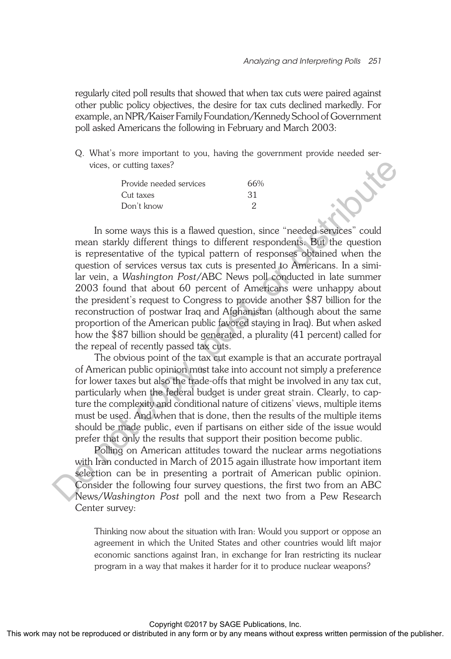regularly cited poll results that showed that when tax cuts were paired against other public policy objectives, the desire for tax cuts declined markedly. For example, an NPR/Kaiser Family Foundation/Kennedy School of Government poll asked Americans the following in February and March 2003:

Q. What's more important to you, having the government provide needed services, or cutting taxes?

| Provide needed services | 66% |
|-------------------------|-----|
| Cut taxes               | -31 |
| Don't know              |     |

In some ways this is a flawed question, since "needed services" could mean starkly different things to different respondents. But the question is representative of the typical pattern of responses obtained when the question of services versus tax cuts is presented to Americans. In a similar vein, a *Washington Post*/ABC News poll conducted in late summer 2003 found that about 60 percent of Americans were unhappy about the president's request to Congress to provide another \$87 billion for the reconstruction of postwar Iraq and Afghanistan (although about the same proportion of the American public favored staying in Iraq). But when asked how the \$87 billion should be generated, a plurality (41 percent) called for the repeal of recently passed tax cuts. vices, or cutting taxes?<br>
provide needel services<br>
Cut taxes<br>
Cut taxes<br>
Cut taxes<br>
Cut taxes<br>
Cut taxes<br>
Cut taxes<br>
Cut taxes<br>
Signed pattern things to different respondents. By the question<br>
is representative of the typ

The obvious point of the tax cut example is that an accurate portrayal of American public opinion must take into account not simply a preference for lower taxes but also the trade-offs that might be involved in any tax cut, particularly when the federal budget is under great strain. Clearly, to capture the complexity and conditional nature of citizens' views, multiple items must be used. And when that is done, then the results of the multiple items should be made public, even if partisans on either side of the issue would prefer that only the results that support their position become public.

Polling on American attitudes toward the nuclear arms negotiations with Iran conducted in March of 2015 again illustrate how important item selection can be in presenting a portrait of American public opinion. Consider the following four survey questions, the first two from an ABC News/*Washington Post* poll and the next two from a Pew Research Center survey:

Thinking now about the situation with Iran: Would you support or oppose an agreement in which the United States and other countries would lift major economic sanctions against Iran, in exchange for Iran restricting its nuclear program in a way that makes it harder for it to produce nuclear weapons?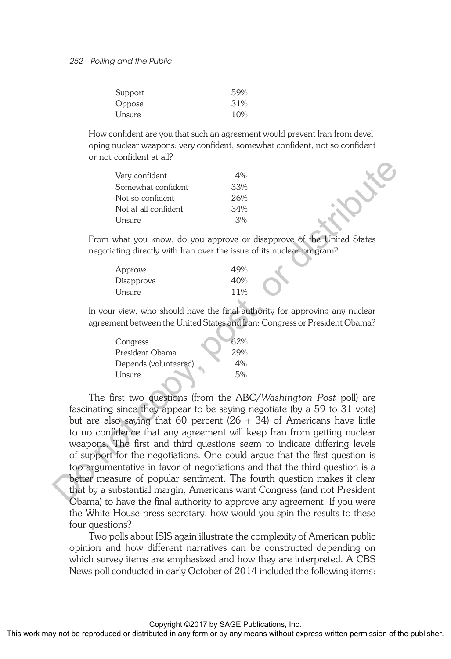#### *252 Polling and the Public*

| Support | 59% |
|---------|-----|
| Oppose  | 31% |
| Unsure  | 10% |

How confident are you that such an agreement would prevent Iran from developing nuclear weapons: very confident, somewhat confident, not so confident or not confident at all?

| Very confident       | 4%  |
|----------------------|-----|
| Somewhat confident   | 33% |
| Not so confident     | 26% |
| Not at all confident | 34% |
| Unsure               | 3%  |

From what you know, do you approve or disapprove of the United States negotiating directly with Iran over the issue of its nuclear program?

| Approve    | 49% |  |
|------------|-----|--|
| Disapprove | 40% |  |
| Unsure     | 11% |  |

In your view, who should have the final authority for approving any nuclear agreement between the United States and Iran: Congress or President Obama?

| Congress              | 62% |
|-----------------------|-----|
| President Obama       | 29% |
| Depends (volunteered) | 4%  |
| Unsure                | .5% |

The first two questions (from the ABC/*Washington Post* poll) are fascinating since they appear to be saying negotiate (by a 59 to 31 vote) but are also saying that 60 percent  $(26 + 34)$  of Americans have little to no confidence that any agreement will keep Iran from getting nuclear weapons. The first and third questions seem to indicate differing levels of support for the negotiations. One could argue that the first question is too argumentative in favor of negotiations and that the third question is a better measure of popular sentiment. The fourth question makes it clear that by a substantial margin, Americans want Congress (and not President Obama) to have the final authority to approve any agreement. If you were the White House press secretary, how would you spin the results to these four questions? Very confident<br>
Very confident<br>
Mot so confident<br>
2016<br>
Not at all confident<br>
2016<br>
Not at all confident<br>
2016<br>
Dinsure<br>
2016<br>
Dinsure<br>
2016<br>
Trom what you know, do you approve of a sign<br>tower of the United States negotia

Two polls about ISIS again illustrate the complexity of American public opinion and how different narratives can be constructed depending on which survey items are emphasized and how they are interpreted. A CBS News poll conducted in early October of 2014 included the following items: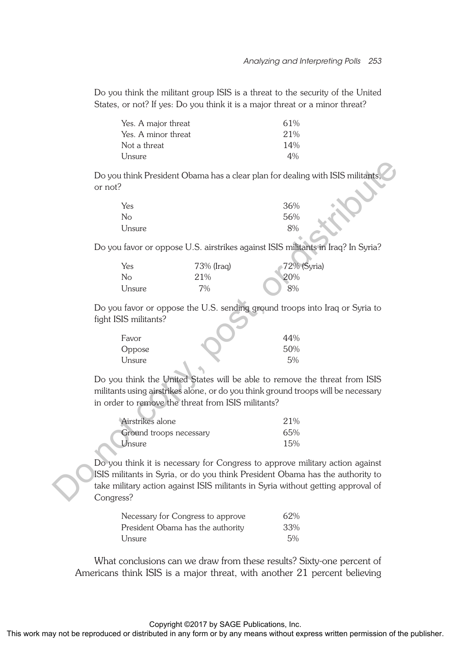Do you think the militant group ISIS is a threat to the security of the United States, or not? If yes: Do you think it is a major threat or a minor threat?

| 61%   |
|-------|
| 21%   |
| 14%   |
| $4\%$ |
|       |

Do you think President Obama has a clear plan for dealing with ISIS militants, or not?

| Yes    | 36% |
|--------|-----|
| No     | 56% |
| Unsure | 8%  |

Do you favor or oppose U.S. airstrikes against ISIS militants in Iraq? In Syria?

| Yes            | 73% (Irag) | ~72% (Syria) |
|----------------|------------|--------------|
| N <sub>o</sub> | 21%        | <b>20%</b>   |
| Unsure         | 7%         | 8%           |

Do you favor or oppose the U.S. sending ground troops into Iraq or Syria to fight ISIS militants?

| Favor  | 44% |
|--------|-----|
| Oppose | 50% |
| Unsure | .5% |

Do you think the United States will be able to remove the threat from ISIS militants using airstrikes alone, or do you think ground troops will be necessary in order to remove the threat from ISIS militants?

| Airstrikes alone               | 2.1% |
|--------------------------------|------|
| <b>Ground troops necessary</b> | 65%  |
| Unsure                         | 1.5% |

Do you think it is necessary for Congress to approve military action against ISIS militants in Syria, or do you think President Obama has the authority to take military action against ISIS militants in Syria without getting approval of Congress? Do you think President Obama has a clear plan for dealing with ISIS militarities<br>
or not?<br>
Yes<br>
No<br>
Unsure<br>
Do you favor or oppose U.S. airstrikes against ISIS militaria in Iraq? In Syria?<br>
Yes<br>
T<sup>936</sup> (fraq)<br>
Yes<br>
To you

| Necessary for Congress to approve | 62% |
|-----------------------------------|-----|
| President Obama has the authority | 33% |
| Unsure                            | .5% |

What conclusions can we draw from these results? Sixty-one percent of Americans think ISIS is a major threat, with another 21 percent believing

Copyright ©2017 by SAGE Publications, Inc.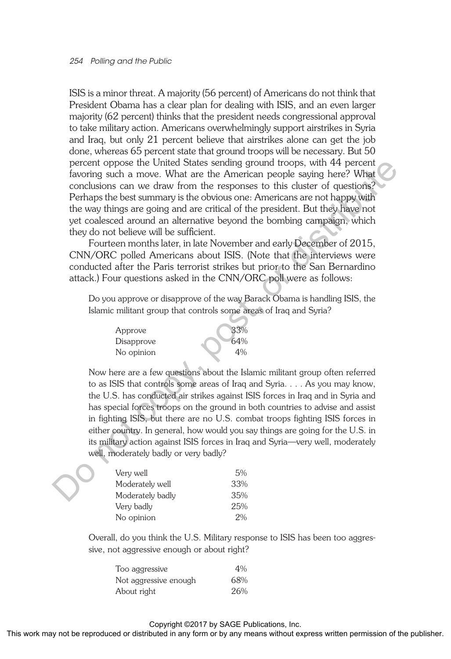ISIS is a minor threat. A majority (56 percent) of Americans do not think that President Obama has a clear plan for dealing with ISIS, and an even larger majority (62 percent) thinks that the president needs congressional approval to take military action. Americans overwhelmingly support airstrikes in Syria and Iraq, but only 21 percent believe that airstrikes alone can get the job done, whereas 65 percent state that ground troops will be necessary. But 50 percent oppose the United States sending ground troops, with 44 percent favoring such a move. What are the American people saying here? What conclusions can we draw from the responses to this cluster of questions? Perhaps the best summary is the obvious one: Americans are not happy with the way things are going and are critical of the president. But they have not yet coalesced around an alternative beyond the bombing campaign, which they do not believe will be sufficient.

Fourteen months later, in late November and early December of 2015, CNN/ORC polled Americans about ISIS. (Note that the interviews were conducted after the Paris terrorist strikes but prior to the San Bernardino attack.) Four questions asked in the CNN/ORC poll were as follows:

Do you approve or disapprove of the way Barack Obama is handling ISIS, the Islamic militant group that controls some areas of Iraq and Syria?

| Approve    | 33%   |
|------------|-------|
| Disapprove | 64%   |
| No opinion | $4\%$ |

Now here are a few questions about the Islamic militant group often referred to as ISIS that controls some areas of Iraq and Syria. . . . As you may know, the U.S. has conducted air strikes against ISIS forces in Iraq and in Syria and has special forces troops on the ground in both countries to advise and assist in fighting ISIS, but there are no U.S. combat troops fighting ISIS forces in either country. In general, how would you say things are going for the U.S. in its military action against ISIS forces in Iraq and Syria—very well, moderately well, moderately badly or very badly? percent oppose the United States sending ground troops, with 44 percent<br>favoring such a move. What are the American propie saying here? What<br>conclusions can we draw from the responses to this cluster of questions?<br>Perhaps

| Very well        | .5%  |
|------------------|------|
| Moderately well  | 33%  |
| Moderately badly | 35%  |
| Very badly       | 2.5% |
| No opinion       | 2%   |

Overall, do you think the U.S. Military response to ISIS has been too aggressive, not aggressive enough or about right?

| Too aggressive        | 4%  |
|-----------------------|-----|
| Not aggressive enough | 68% |
| About right           | 26% |

Copyright ©2017 by SAGE Publications, Inc.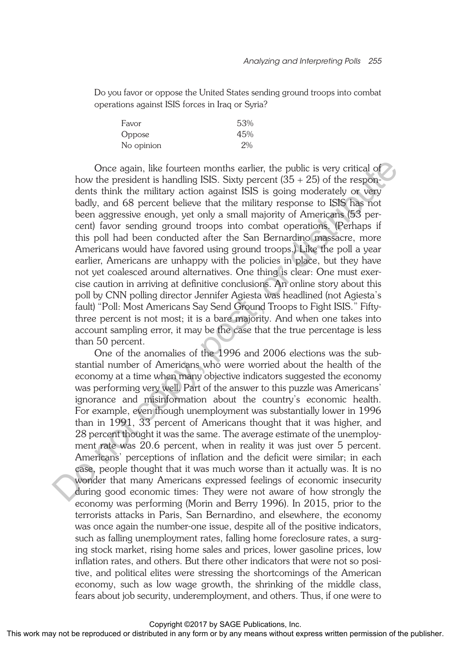Do you favor or oppose the United States sending ground troops into combat operations against ISIS forces in Iraq or Syria?

| Favor      | 53% |
|------------|-----|
| Oppose     | 45% |
| No opinion | 2%  |

Once again, like fourteen months earlier, the public is very critical of how the president is handling ISIS. Sixty percent  $(35 + 25)$  of the respondents think the military action against ISIS is going moderately or very badly, and 68 percent believe that the military response to ISIS has not been aggressive enough, yet only a small majority of Americans (53 percent) favor sending ground troops into combat operations. (Perhaps if this poll had been conducted after the San Bernardino massacre, more Americans would have favored using ground troops.) Like the poll a year earlier, Americans are unhappy with the policies in place, but they have not yet coalesced around alternatives. One thing is clear: One must exercise caution in arriving at definitive conclusions. An online story about this poll by CNN polling director Jennifer Agiesta was headlined (not Agiesta's fault) "Poll: Most Americans Say Send Ground Troops to Fight ISIS." Fiftythree percent is not most; it is a bare majority. And when one takes into account sampling error, it may be the case that the true percentage is less than 50 percent. Once again, like fourteen months earlier, the public is very critical of<br>how the president is handling ISIS. Sixty percent (35 + 25) of the respon-<br>denst think the military action against ISIS is going moderately or very<br>

One of the anomalies of the 1996 and 2006 elections was the substantial number of Americans who were worried about the health of the economy at a time when many objective indicators suggested the economy was performing very well. Part of the answer to this puzzle was Americans' ignorance and misinformation about the country's economic health. For example, even though unemployment was substantially lower in 1996 than in 1991, 33 percent of Americans thought that it was higher, and 28 percent thought it was the same. The average estimate of the unemployment rate was 20.6 percent, when in reality it was just over 5 percent. Americans' perceptions of inflation and the deficit were similar; in each case, people thought that it was much worse than it actually was. It is no wonder that many Americans expressed feelings of economic insecurity during good economic times: They were not aware of how strongly the economy was performing (Morin and Berry 1996). In 2015, prior to the terrorists attacks in Paris, San Bernardino, and elsewhere, the economy was once again the number-one issue, despite all of the positive indicators, such as falling unemployment rates, falling home foreclosure rates, a surging stock market, rising home sales and prices, lower gasoline prices, low inflation rates, and others. But there other indicators that were not so positive, and political elites were stressing the shortcomings of the American economy, such as low wage growth, the shrinking of the middle class, fears about job security, underemployment, and others. Thus, if one were to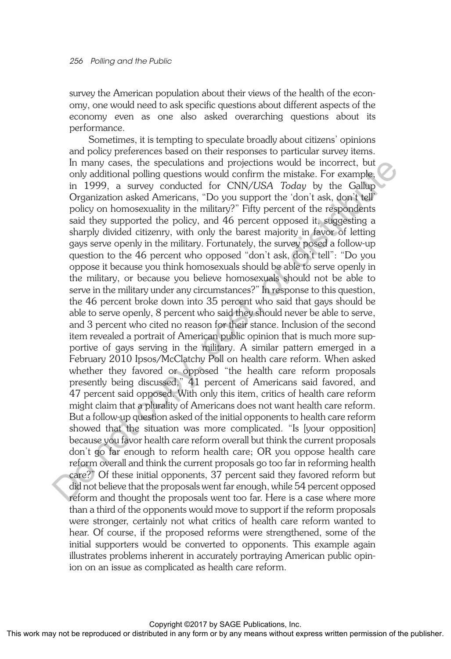survey the American population about their views of the health of the economy, one would need to ask specific questions about different aspects of the economy even as one also asked overarching questions about its performance.

Sometimes, it is tempting to speculate broadly about citizens' opinions and policy preferences based on their responses to particular survey items. In many cases, the speculations and projections would be incorrect, but only additional polling questions would confirm the mistake. For example, in 1999, a survey conducted for CNN/*USA Today* by the Gallup Organization asked Americans, "Do you support the 'don't ask, don't tell' policy on homosexuality in the military?" Fifty percent of the respondents said they supported the policy, and 46 percent opposed it, suggesting a sharply divided citizenry, with only the barest majority in favor of letting gays serve openly in the military. Fortunately, the survey posed a follow-up question to the 46 percent who opposed "don't ask, don't tell": "Do you oppose it because you think homosexuals should be able to serve openly in the military, or because you believe homosexuals should not be able to serve in the military under any circumstances?" In response to this question, the 46 percent broke down into 35 percent who said that gays should be able to serve openly, 8 percent who said they should never be able to serve, and 3 percent who cited no reason for their stance. Inclusion of the second item revealed a portrait of American public opinion that is much more supportive of gays serving in the military. A similar pattern emerged in a February 2010 Ipsos/McClatchy Poll on health care reform. When asked whether they favored or opposed "the health care reform proposals presently being discussed," 41 percent of Americans said favored, and 47 percent said opposed. With only this item, critics of health care reform might claim that a plurality of Americans does not want health care reform. But a follow-up question asked of the initial opponents to health care reform showed that the situation was more complicated. "Is [your opposition] because you favor health care reform overall but think the current proposals don't go far enough to reform health care; OR you oppose health care reform overall and think the current proposals go too far in reforming health care?" Of these initial opponents, 37 percent said they favored reform but did not believe that the proposals went far enough, while 54 percent opposed reform and thought the proposals went too far. Here is a case where more than a third of the opponents would move to support if the reform proposals were stronger, certainly not what critics of health care reform wanted to hear. Of course, if the proposed reforms were strengthened, some of the initial supporters would be converted to opponents. This example again illustrates problems inherent in accurately portraying American public opinion on an issue as complicated as health care reform. In many cases, the speculations and projections would confirm the misrake. For example, in 1999, a survey conducted for CNN/USA Today by the Galliup Organization asked Americans; "Do you support the don't ask, don't kere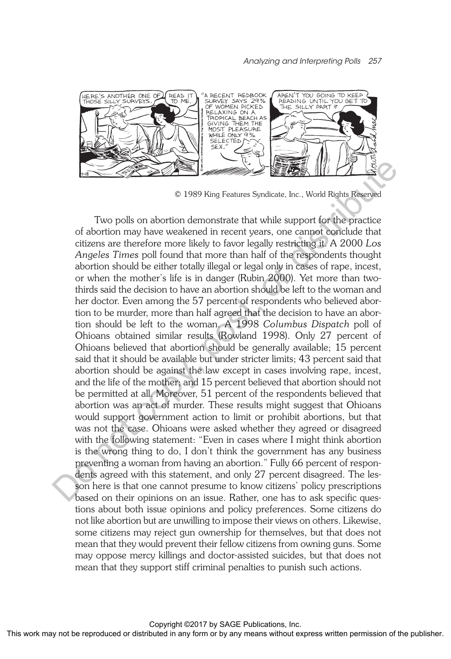

© 1989 King Features Syndicate, Inc., World Rights Reserved

Two polls on abortion demonstrate that while support for the practice of abortion may have weakened in recent years, one cannot conclude that citizens are therefore more likely to favor legally restricting it. A 2000 *Los Angeles Times* poll found that more than half of the respondents thought abortion should be either totally illegal or legal only in cases of rape, incest, or when the mother's life is in danger (Rubin 2000). Yet more than twothirds said the decision to have an abortion should be left to the woman and her doctor. Even among the 57 percent of respondents who believed abortion to be murder, more than half agreed that the decision to have an abortion should be left to the woman. A 1998 *Columbus Dispatch* poll of Ohioans obtained similar results (Rowland 1998). Only 27 percent of Ohioans believed that abortion should be generally available; 15 percent said that it should be available but under stricter limits; 43 percent said that abortion should be against the law except in cases involving rape, incest, and the life of the mother; and 15 percent believed that abortion should not be permitted at all. Moreover, 51 percent of the respondents believed that abortion was an act of murder. These results might suggest that Ohioans would support government action to limit or prohibit abortions, but that was not the case. Ohioans were asked whether they agreed or disagreed with the following statement: "Even in cases where I might think abortion is the wrong thing to do, I don't think the government has any business preventing a woman from having an abortion." Fully 66 percent of respondents agreed with this statement, and only 27 percent disagreed. The lesson here is that one cannot presume to know citizens' policy prescriptions based on their opinions on an issue. Rather, one has to ask specific questions about both issue opinions and policy preferences. Some citizens do not like abortion but are unwilling to impose their views on others. Likewise, some citizens may reject gun ownership for themselves, but that does not mean that they would prevent their fellow citizens from owning guns. Some may oppose mercy killings and doctor-assisted suicides, but that does not mean that they support stiff criminal penalties to punish such actions. **Example 1988**<br>
(a) 1989 King Features Syndicate, Inc., World Rights Reserved<br>
(a) 1989 King Features Syndicate, Inc., World Rights Reserved<br>
(a) aboution may have weakened in recent years, one cannot conclude that<br>
citiz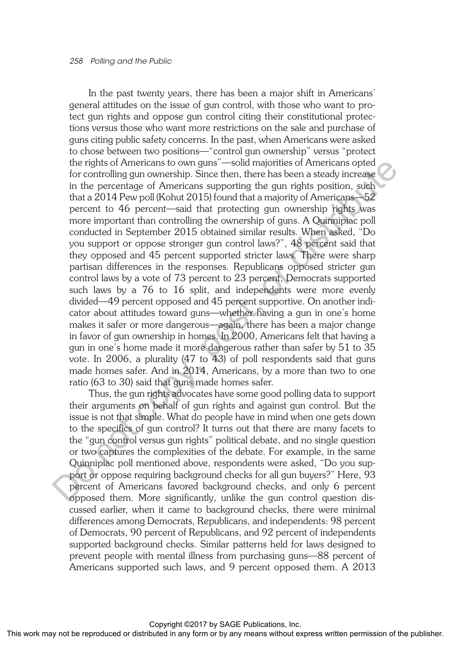In the past twenty years, there has been a major shift in Americans' general attitudes on the issue of gun control, with those who want to protect gun rights and oppose gun control citing their constitutional protections versus those who want more restrictions on the sale and purchase of guns citing public safety concerns. In the past, when Americans were asked to chose between two positions—"control gun ownership" versus "protect the rights of Americans to own guns"—solid majorities of Americans opted for controlling gun ownership. Since then, there has been a steady increase in the percentage of Americans supporting the gun rights position, such that a 2014 Pew poll (Kohut 2015) found that a majority of Americans—52 percent to 46 percent—said that protecting gun ownership rights was more important than controlling the ownership of guns. A Quinnipiac poll conducted in September 2015 obtained similar results. When asked, "Do you support or oppose stronger gun control laws?", 48 percent said that they opposed and 45 percent supported stricter laws. There were sharp partisan differences in the responses. Republicans opposed stricter gun control laws by a vote of 73 percent to 23 percent, Democrats supported such laws by a 76 to 16 split, and independents were more evenly divided—49 percent opposed and 45 percent supportive. On another indicator about attitudes toward guns—whether having a gun in one's home makes it safer or more dangerous—again, there has been a major change in favor of gun ownership in homes. In 2000, Americans felt that having a gun in one's home made it more dangerous rather than safer by 51 to 35 vote. In 2006, a plurality (47 to 43) of poll respondents said that guns made homes safer. And in 2014, Americans, by a more than two to one ratio (63 to 30) said that guns made homes safer. the rights of Americans to own guns<sup>21</sup>—solid majorities of Americans opted<br>for controlling gun ownership. Since then, there has been a steady increase<br>in the percentage of Americans supporting the gun rights position, su

Thus, the gun rights advocates have some good polling data to support their arguments on behalf of gun rights and against gun control. But the issue is not that simple. What do people have in mind when one gets down to the specifics of gun control? It turns out that there are many facets to the "gun control versus gun rights" political debate, and no single question or two captures the complexities of the debate. For example, in the same Quinnipiac poll mentioned above, respondents were asked, "Do you support or oppose requiring background checks for all gun buyers?" Here, 93 percent of Americans favored background checks, and only 6 percent opposed them. More significantly, unlike the gun control question discussed earlier, when it came to background checks, there were minimal differences among Democrats, Republicans, and independents: 98 percent of Democrats, 90 percent of Republicans, and 92 percent of independents supported background checks. Similar patterns held for laws designed to prevent people with mental illness from purchasing guns—88 percent of Americans supported such laws, and 9 percent opposed them. A 2013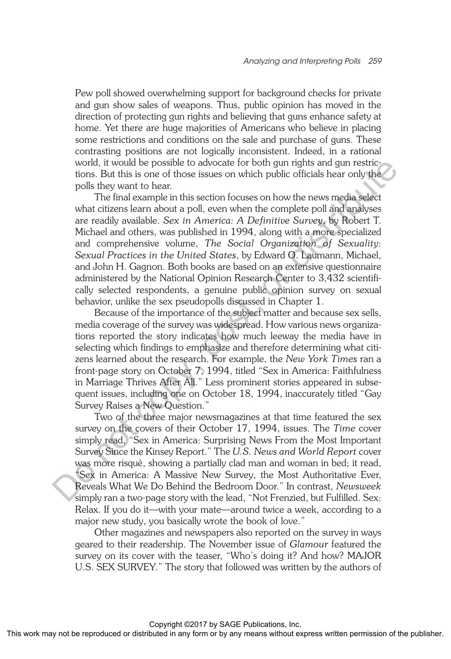Pew poll showed overwhelming support for background checks for private and gun show sales of weapons. Thus, public opinion has moved in the direction of protecting gun rights and believing that guns enhance safety at home. Yet there are huge majorities of Americans who believe in placing some restrictions and conditions on the sale and purchase of guns. These contrasting positions are not logically inconsistent. Indeed, in a rational world, it would be possible to advocate for both gun rights and gun restrictions. But this is one of those issues on which public officials hear only the polls they want to hear.

The final example in this section focuses on how the news media select what citizens learn about a poll, even when the complete poll and analyses are readily available. *Sex in America: A Definitive Survey*, by Robert T. Michael and others, was published in 1994, along with a more specialized and comprehensive volume, *The Social Organization of Sexuality: Sexual Practices in the United States*, by Edward O. Laumann, Michael, and John H. Gagnon. Both books are based on an extensive questionnaire administered by the National Opinion Research Center to 3,432 scientifically selected respondents, a genuine public opinion survey on sexual behavior, unlike the sex pseudopolls discussed in Chapter 1. world, it would be possible to advocate for both gun inghis and gun restrictions. But this is one of those issues on which public officials hear only the polls they want to hear.<br>
The final example in this section focuses

Because of the importance of the subject matter and because sex sells, media coverage of the survey was widespread. How various news organizations reported the story indicates how much leeway the media have in selecting which findings to emphasize and therefore determining what citizens learned about the research. For example, the *New York Times* ran a front-page story on October 7, 1994, titled "Sex in America: Faithfulness in Marriage Thrives After All." Less prominent stories appeared in subsequent issues, including one on October 18, 1994, inaccurately titled "Gay Survey Raises a New Question."

Two of the three major newsmagazines at that time featured the sex survey on the covers of their October 17, 1994, issues. The *Time* cover simply read, "Sex in America: Surprising News From the Most Important Survey Since the Kinsey Report." The *U.S. News and World Report* cover was more risqué, showing a partially clad man and woman in bed; it read, "Sex in America: A Massive New Survey, the Most Authoritative Ever, Reveals What We Do Behind the Bedroom Door." In contrast, *Newsweek* simply ran a two-page story with the lead, "Not Frenzied, but Fulfilled. Sex: Relax. If you do it—with your mate—around twice a week, according to a major new study, you basically wrote the book of love."

Other magazines and newspapers also reported on the survey in ways geared to their readership. The November issue of *Glamour* featured the survey on its cover with the teaser, "Who's doing it? And how? MAJOR U.S. SEX SURVEY." The story that followed was written by the authors of

Copyright ©2017 by SAGE Publications, Inc.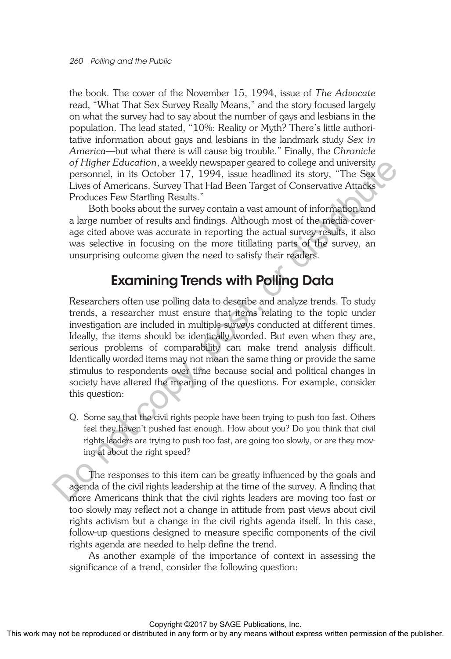the book. The cover of the November 15, 1994, issue of *The Advocate* read, "What That Sex Survey Really Means," and the story focused largely on what the survey had to say about the number of gays and lesbians in the population. The lead stated, "10%: Reality or Myth? There's little authoritative information about gays and lesbians in the landmark study *Sex in America*—but what there is will cause big trouble." Finally, the *Chronicle of Higher Education*, a weekly newspaper geared to college and university personnel, in its October 17, 1994, issue headlined its story, "The Sex Lives of Americans. Survey That Had Been Target of Conservative Attacks Produces Few Startling Results."

Both books about the survey contain a vast amount of information and a large number of results and findings. Although most of the media coverage cited above was accurate in reporting the actual survey results, it also was selective in focusing on the more titillating parts of the survey, an unsurprising outcome given the need to satisfy their readers.

# Examining Trends with Polling Data

Researchers often use polling data to describe and analyze trends. To study trends, a researcher must ensure that items relating to the topic under investigation are included in multiple surveys conducted at different times. Ideally, the items should be identically worded. But even when they are, serious problems of comparability can make trend analysis difficult. Identically worded items may not mean the same thing or provide the same stimulus to respondents over time because social and political changes in society have altered the meaning of the questions. For example, consider this question: of Higher Education, a weekly newspaper geared to college and university<br>personnel, in its October 17, 1994, issue headlined its story, "The Sex<br>Lives of Americans. Survey That Had Been Target of Conservative Attacks<br>Produ

Q. Some say that the civil rights people have been trying to push too fast. Others feel they haven't pushed fast enough. How about you? Do you think that civil rights leaders are trying to push too fast, are going too slowly, or are they moving at about the right speed?

The responses to this item can be greatly influenced by the goals and agenda of the civil rights leadership at the time of the survey. A finding that more Americans think that the civil rights leaders are moving too fast or too slowly may reflect not a change in attitude from past views about civil rights activism but a change in the civil rights agenda itself. In this case, follow-up questions designed to measure specific components of the civil rights agenda are needed to help define the trend.

As another example of the importance of context in assessing the significance of a trend, consider the following question: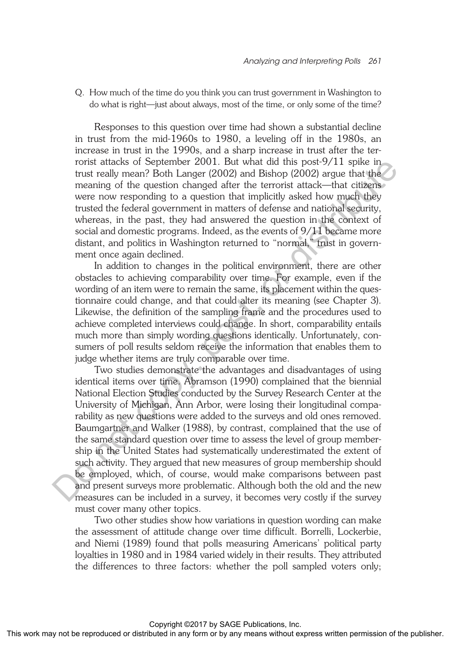Q. How much of the time do you think you can trust government in Washington to do what is right—just about always, most of the time, or only some of the time?

Responses to this question over time had shown a substantial decline in trust from the mid-1960s to 1980, a leveling off in the 1980s, an increase in trust in the 1990s, and a sharp increase in trust after the terrorist attacks of September 2001. But what did this post-9/11 spike in trust really mean? Both Langer (2002) and Bishop (2002) argue that the meaning of the question changed after the terrorist attack—that citizens were now responding to a question that implicitly asked how much they trusted the federal government in matters of defense and national security, whereas, in the past, they had answered the question in the context of social and domestic programs. Indeed, as the events of 9/11 became more distant, and politics in Washington returned to "normal," trust in government once again declined.

In addition to changes in the political environment, there are other obstacles to achieving comparability over time. For example, even if the wording of an item were to remain the same, its placement within the questionnaire could change, and that could alter its meaning (see Chapter 3). Likewise, the definition of the sampling frame and the procedures used to achieve completed interviews could change. In short, comparability entails much more than simply wording questions identically. Unfortunately, consumers of poll results seldom receive the information that enables them to judge whether items are truly comparable over time.

Two studies demonstrate the advantages and disadvantages of using identical items over time. Abramson (1990) complained that the biennial National Election Studies conducted by the Survey Research Center at the University of Michigan, Ann Arbor, were losing their longitudinal comparability as new questions were added to the surveys and old ones removed. Baumgartner and Walker (1988), by contrast, complained that the use of the same standard question over time to assess the level of group membership in the United States had systematically underestimated the extent of such activity. They argued that new measures of group membership should be employed, which, of course, would make comparisons between past and present surveys more problematic. Although both the old and the new measures can be included in a survey, it becomes very costly if the survey must cover many other topics. rorist attacts of September 2001. But what did this poss<sup>+19/11</sup> spite in treat title spite the smaning of the question changed after the terrorist attack—that citizens were now responding to a question that implicitly ask

Two other studies show how variations in question wording can make the assessment of attitude change over time difficult. Borrelli, Lockerbie, and Niemi (1989) found that polls measuring Americans' political party loyalties in 1980 and in 1984 varied widely in their results. They attributed the differences to three factors: whether the poll sampled voters only;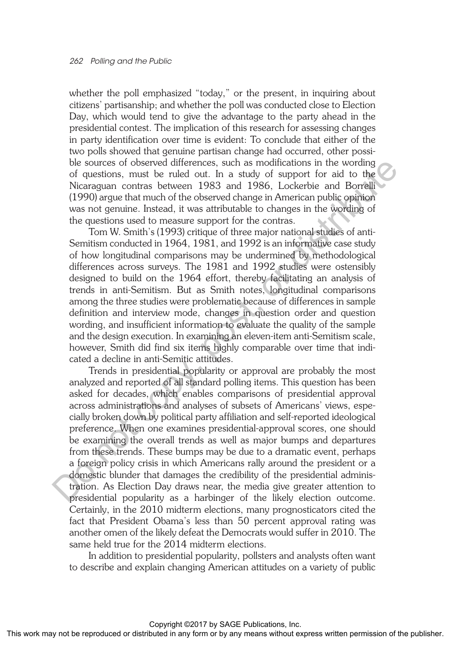whether the poll emphasized "today," or the present, in inquiring about citizens' partisanship; and whether the poll was conducted close to Election Day, which would tend to give the advantage to the party ahead in the presidential contest. The implication of this research for assessing changes in party identification over time is evident: To conclude that either of the two polls showed that genuine partisan change had occurred, other possible sources of observed differences, such as modifications in the wording of questions, must be ruled out. In a study of support for aid to the Nicaraguan contras between 1983 and 1986, Lockerbie and Borrelli (1990) argue that much of the observed change in American public opinion was not genuine. Instead, it was attributable to changes in the wording of the questions used to measure support for the contras.

Tom W. Smith's (1993) critique of three major national studies of anti-Semitism conducted in 1964, 1981, and 1992 is an informative case study of how longitudinal comparisons may be undermined by methodological differences across surveys. The 1981 and 1992 studies were ostensibly designed to build on the 1964 effort, thereby facilitating an analysis of trends in anti-Semitism. But as Smith notes, longitudinal comparisons among the three studies were problematic because of differences in sample definition and interview mode, changes in question order and question wording, and insufficient information to evaluate the quality of the sample and the design execution. In examining an eleven-item anti-Semitism scale, however, Smith did find six items highly comparable over time that indicated a decline in anti-Semitic attitudes. be sources of observed differences, such as modifications in the wording<br>of outerstons, must be ruled out. In a study of support for aid to the<br>Nicaraguan contras between 1983 and 1986, Lockerbie and Borrelli<br>(1990) argue

Trends in presidential popularity or approval are probably the most analyzed and reported of all standard polling items. This question has been asked for decades, which enables comparisons of presidential approval across administrations and analyses of subsets of Americans' views, especially broken down by political party affiliation and self-reported ideological preference. When one examines presidential-approval scores, one should be examining the overall trends as well as major bumps and departures from these trends. These bumps may be due to a dramatic event, perhaps a foreign policy crisis in which Americans rally around the president or a domestic blunder that damages the credibility of the presidential administration. As Election Day draws near, the media give greater attention to presidential popularity as a harbinger of the likely election outcome. Certainly, in the 2010 midterm elections, many prognosticators cited the fact that President Obama's less than 50 percent approval rating was another omen of the likely defeat the Democrats would suffer in 2010. The same held true for the 2014 midterm elections.

In addition to presidential popularity, pollsters and analysts often want to describe and explain changing American attitudes on a variety of public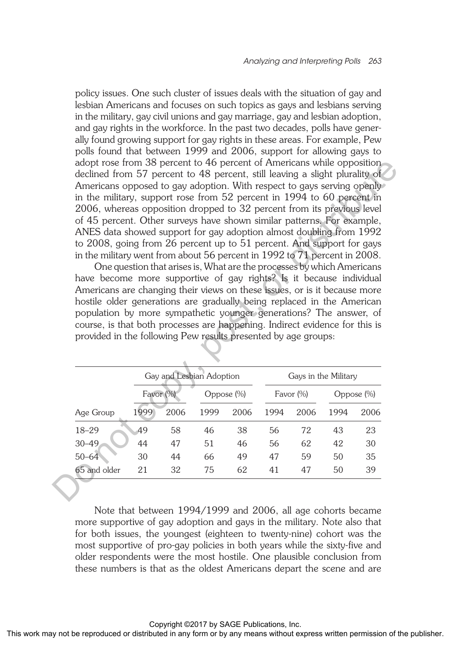policy issues. One such cluster of issues deals with the situation of gay and lesbian Americans and focuses on such topics as gays and lesbians serving in the military, gay civil unions and gay marriage, gay and lesbian adoption, and gay rights in the workforce. In the past two decades, polls have generally found growing support for gay rights in these areas. For example, Pew polls found that between 1999 and 2006, support for allowing gays to adopt rose from 38 percent to 46 percent of Americans while opposition declined from 57 percent to 48 percent, still leaving a slight plurality of Americans opposed to gay adoption. With respect to gays serving openly in the military, support rose from 52 percent in 1994 to 60 percent in 2006, whereas opposition dropped to 32 percent from its previous level of 45 percent. Other surveys have shown similar patterns. For example, ANES data showed support for gay adoption almost doubling from 1992 to 2008, going from 26 percent up to 51 percent. And support for gays in the military went from about 56 percent in 1992 to 71 percent in 2008.

|                                                                                                                                              | Americans are changing their views on these issues, or is it because more |                          |            |      |      |           |                      |            |
|----------------------------------------------------------------------------------------------------------------------------------------------|---------------------------------------------------------------------------|--------------------------|------------|------|------|-----------|----------------------|------------|
| hostile older generations are gradually being replaced in the American<br>population by more sympathetic younger generations? The answer, of |                                                                           |                          |            |      |      |           |                      |            |
|                                                                                                                                              |                                                                           |                          |            |      |      |           |                      |            |
| course, is that both processes are happening. Indirect evidence for this is                                                                  |                                                                           |                          |            |      |      |           |                      |            |
| provided in the following Pew results presented by age groups:                                                                               |                                                                           |                          |            |      |      |           |                      |            |
|                                                                                                                                              |                                                                           |                          |            |      |      |           |                      |            |
|                                                                                                                                              |                                                                           |                          |            |      |      |           |                      |            |
|                                                                                                                                              |                                                                           |                          |            |      |      |           |                      |            |
|                                                                                                                                              |                                                                           | Gay and Lesbian Adoption |            |      |      |           | Gays in the Military |            |
|                                                                                                                                              | Favor (%)                                                                 |                          | Oppose (%) |      |      | Favor (%) |                      | Oppose (%) |
|                                                                                                                                              |                                                                           |                          |            |      |      |           |                      |            |
| Age Group                                                                                                                                    | 1999                                                                      | 2006                     | 1999       | 2006 | 1994 | 2006      | 1994                 | 2006       |
| $18 - 29$                                                                                                                                    | 49                                                                        | 58                       | 46         | 38   | 56   | 72        | 43                   | 23         |
|                                                                                                                                              | 44                                                                        | 47                       | 51         | 46   | 56   | 62        | 42                   | 30         |
| $30 - 49$<br>$50 - 64$                                                                                                                       | 30                                                                        | 44                       | 66         | 49   | 47   | 59        | 50                   | 35         |

Note that between 1994/1999 and 2006, all age cohorts became more supportive of gay adoption and gays in the military. Note also that for both issues, the youngest (eighteen to twenty-nine) cohort was the most supportive of pro-gay policies in both years while the sixty-five and older respondents were the most hostile. One plausible conclusion from these numbers is that as the oldest Americans depart the scene and are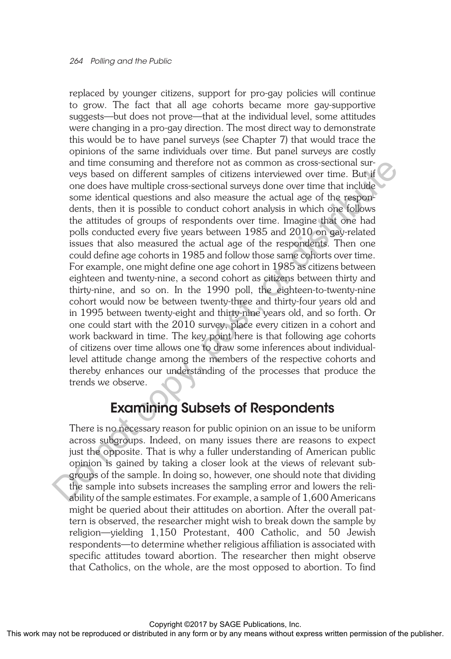replaced by younger citizens, support for pro-gay policies will continue to grow. The fact that all age cohorts became more gay-supportive suggests—but does not prove—that at the individual level, some attitudes were changing in a pro-gay direction. The most direct way to demonstrate this would be to have panel surveys (see Chapter 7) that would trace the opinions of the same individuals over time. But panel surveys are costly and time consuming and therefore not as common as cross-sectional surveys based on different samples of citizens interviewed over time. But if one does have multiple cross-sectional surveys done over time that include some identical questions and also measure the actual age of the respondents, then it is possible to conduct cohort analysis in which one follows the attitudes of groups of respondents over time. Imagine that one had polls conducted every five years between 1985 and 2010 on gay-related issues that also measured the actual age of the respondents. Then one could define age cohorts in 1985 and follow those same cohorts over time. For example, one might define one age cohort in 1985 as citizens between eighteen and twenty-nine, a second cohort as citizens between thirty and thirty-nine, and so on. In the 1990 poll, the eighteen-to-twenty-nine cohort would now be between twenty-three and thirty-four years old and in 1995 between twenty-eight and thirty-nine years old, and so forth. Or one could start with the 2010 survey, place every citizen in a cohort and work backward in time. The key point here is that following age cohorts of citizens over time allows one to draw some inferences about individuallevel attitude change among the members of the respective cohorts and thereby enhances our understanding of the processes that produce the trends we observe. and time consuming and therefore not as common as cross-sectional sur-<br>weys based on different samples of citizens interviewed over time. But if<br>yone does have multiple cross-sectional surveys done over time that include<br>s

# Examining Subsets of Respondents

There is no necessary reason for public opinion on an issue to be uniform across subgroups. Indeed, on many issues there are reasons to expect just the opposite. That is why a fuller understanding of American public opinion is gained by taking a closer look at the views of relevant subgroups of the sample. In doing so, however, one should note that dividing the sample into subsets increases the sampling error and lowers the reliability of the sample estimates. For example, a sample of 1,600 Americans might be queried about their attitudes on abortion. After the overall pattern is observed, the researcher might wish to break down the sample by religion—yielding 1,150 Protestant, 400 Catholic, and 50 Jewish respondents—to determine whether religious affiliation is associated with specific attitudes toward abortion. The researcher then might observe that Catholics, on the whole, are the most opposed to abortion. To find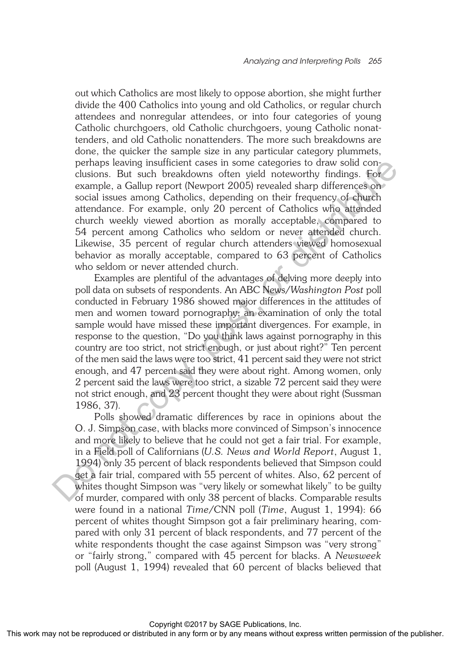out which Catholics are most likely to oppose abortion, she might further divide the 400 Catholics into young and old Catholics, or regular church attendees and nonregular attendees, or into four categories of young Catholic churchgoers, old Catholic churchgoers, young Catholic nonattenders, and old Catholic nonattenders. The more such breakdowns are done, the quicker the sample size in any particular category plummets, perhaps leaving insufficient cases in some categories to draw solid conclusions. But such breakdowns often yield noteworthy findings. For example, a Gallup report (Newport 2005) revealed sharp differences on social issues among Catholics, depending on their frequency of church attendance. For example, only 20 percent of Catholics who attended church weekly viewed abortion as morally acceptable, compared to 54 percent among Catholics who seldom or never attended church. Likewise, 35 percent of regular church attenders viewed homosexual behavior as morally acceptable, compared to 63 percent of Catholics who seldom or never attended church.

Examples are plentiful of the advantages of delving more deeply into poll data on subsets of respondents. An ABC News/*Washington Post* poll conducted in February 1986 showed major differences in the attitudes of men and women toward pornography; an examination of only the total sample would have missed these important divergences. For example, in response to the question, "Do you think laws against pornography in this country are too strict, not strict enough, or just about right?" Ten percent of the men said the laws were too strict, 41 percent said they were not strict enough, and 47 percent said they were about right. Among women, only 2 percent said the laws were too strict, a sizable 72 percent said they were not strict enough, and 23 percent thought they were about right (Sussman 1986, 37). perhaps leaving insultrient cases in some categories to draw solid con-<br>calsions. But such breakdowns often yield noteworthy findings. For<br>example, a Gallup report (Newport 2005) revealed sharp differences on<br>social issues

Polls showed dramatic differences by race in opinions about the O. J. Simpson case, with blacks more convinced of Simpson's innocence and more likely to believe that he could not get a fair trial. For example, in a Field poll of Californians (*U.S. News and World Report*, August 1, 1994) only 35 percent of black respondents believed that Simpson could get a fair trial, compared with 55 percent of whites. Also, 62 percent of whites thought Simpson was "very likely or somewhat likely" to be guilty of murder, compared with only 38 percent of blacks. Comparable results were found in a national *Time*/CNN poll (*Time*, August 1, 1994): 66 percent of whites thought Simpson got a fair preliminary hearing, compared with only 31 percent of black respondents, and 77 percent of the white respondents thought the case against Simpson was "very strong" or "fairly strong," compared with 45 percent for blacks. A *Newsweek* poll (August 1, 1994) revealed that 60 percent of blacks believed that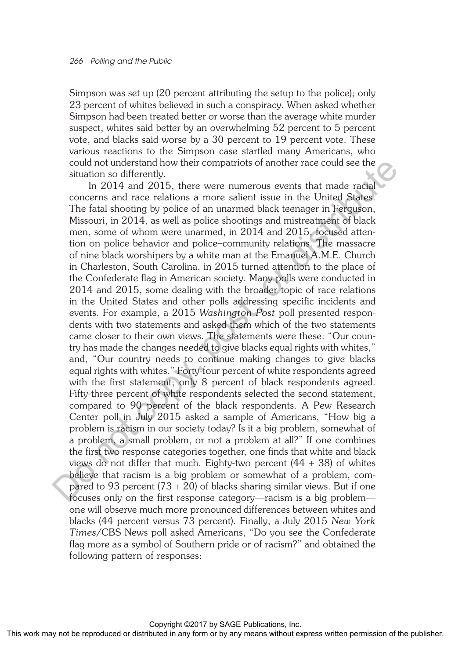Simpson was set up (20 percent attributing the setup to the police); only 23 percent of whites believed in such a conspiracy. When asked whether Simpson had been treated better or worse than the average white murder suspect, whites said better by an overwhelming 52 percent to 5 percent vote, and blacks said worse by a 30 percent to 19 percent vote. These various reactions to the Simpson case startled many Americans, who could not understand how their compatriots of another race could see the situation so differently.

In 2014 and 2015, there were numerous events that made racial concerns and race relations a more salient issue in the United States. The fatal shooting by police of an unarmed black teenager in Ferguson, Missouri, in 2014, as well as police shootings and mistreatment of black men, some of whom were unarmed, in 2014 and 2015, focused attention on police behavior and police–community relations. The massacre of nine black worshipers by a white man at the Emanuel A.M.E. Church in Charleston, South Carolina, in 2015 turned attention to the place of the Confederate flag in American society. Many polls were conducted in 2014 and 2015, some dealing with the broader topic of race relations in the United States and other polls addressing specific incidents and events. For example, a 2015 *Washington Post* poll presented respondents with two statements and asked them which of the two statements came closer to their own views. The statements were these: "Our country has made the changes needed to give blacks equal rights with whites," and, "Our country needs to continue making changes to give blacks equal rights with whites." Forty-four percent of white respondents agreed with the first statement; only 8 percent of black respondents agreed. Fifty-three percent of white respondents selected the second statement, compared to 90 percent of the black respondents. A Pew Research Center poll in July 2015 asked a sample of Americans, "How big a problem is racism in our society today? Is it a big problem, somewhat of a problem, a small problem, or not a problem at all?" If one combines the first two response categories together, one finds that white and black views do not differ that much. Eighty-two percent  $(44 + 38)$  of whites believe that racism is a big problem or somewhat of a problem, compared to 93 percent  $(73 + 20)$  of blacks sharing similar views. But if one focuses only on the first response category—racism is a big problem one will observe much more pronounced differences between whites and blacks (44 percent versus 73 percent). Finally, a July 2015 *New York Times*/CBS News poll asked Americans, "Do you see the Confederate flag more as a symbol of Southern pride or of racism?" and obtained the following pattern of responses: could not understand how their compatriots of another race could see the<br>
in 2014 and 2015, there were numerous events that made radia<br>
concerns and race relations a more salient issue in the United Salies.<br>
The fatal shoo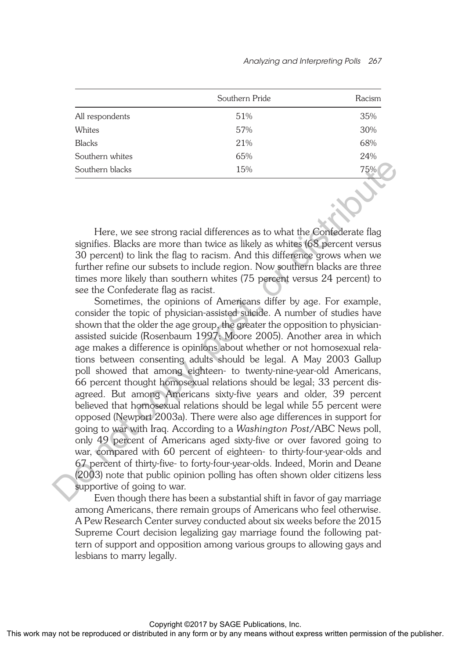|                 | Southern Pride | Racism |
|-----------------|----------------|--------|
| All respondents | 51%            | 35%    |
| Whites          | 57%            | 30%    |
| <b>Blacks</b>   | 21%            | 68%    |
| Southern whites | 65%            | 24%    |
| Southern blacks | 15%            | 75%    |
|                 |                |        |

Here, we see strong racial differences as to what the Confederate flag signifies. Blacks are more than twice as likely as whites (68 percent versus 30 percent) to link the flag to racism. And this difference grows when we further refine our subsets to include region. Now southern blacks are three times more likely than southern whites (75 percent versus 24 percent) to see the Confederate flag as racist.

Sometimes, the opinions of Americans differ by age. For example, consider the topic of physician-assisted suicide. A number of studies have shown that the older the age group, the greater the opposition to physicianassisted suicide (Rosenbaum 1997; Moore 2005). Another area in which age makes a difference is opinions about whether or not homosexual relations between consenting adults should be legal. A May 2003 Gallup poll showed that among eighteen- to twenty-nine-year-old Americans, 66 percent thought homosexual relations should be legal; 33 percent disagreed. But among Americans sixty-five years and older, 39 percent believed that homosexual relations should be legal while 55 percent were opposed (Newport 2003a). There were also age differences in support for going to war with Iraq. According to a *Washington Post*/ABC News poll, only 49 percent of Americans aged sixty-five or over favored going to war, compared with 60 percent of eighteen- to thirty-four-year-olds and 67 percent of thirty-five- to forty-four-year-olds. Indeed, Morin and Deane (2003) note that public opinion polling has often shown older citizens less supportive of going to war. Southern blacks<br>
15% 15% 15% 15% 15% 15% 2003<br>
Here, we see strong racial differences as to what the Confederate flag<br>
signifies. Blacks are more than twice as likely as whites (68 percent versus<br>
30 percent) to link the

Even though there has been a substantial shift in favor of gay marriage among Americans, there remain groups of Americans who feel otherwise. A Pew Research Center survey conducted about six weeks before the 2015 Supreme Court decision legalizing gay marriage found the following pattern of support and opposition among various groups to allowing gays and lesbians to marry legally.

Copyright ©2017 by SAGE Publications, Inc.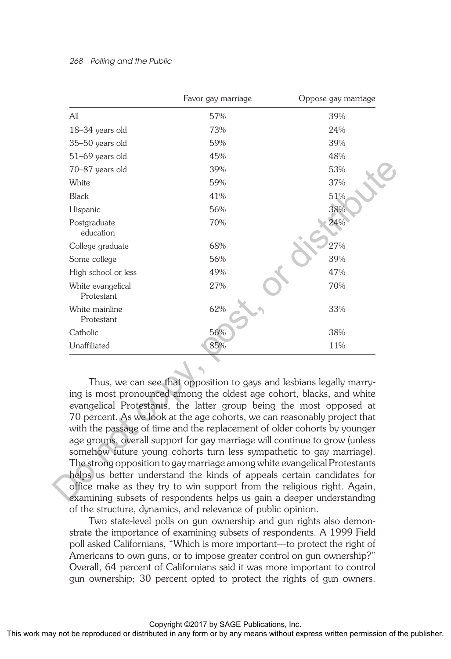|                                 | Favor gay marriage                                                                                                                                                                                                                                                                                                                                                                                                                                          | Oppose gay marriage                                                       |
|---------------------------------|-------------------------------------------------------------------------------------------------------------------------------------------------------------------------------------------------------------------------------------------------------------------------------------------------------------------------------------------------------------------------------------------------------------------------------------------------------------|---------------------------------------------------------------------------|
| All                             | 57%                                                                                                                                                                                                                                                                                                                                                                                                                                                         | 39%                                                                       |
| 18-34 years old                 | 73%                                                                                                                                                                                                                                                                                                                                                                                                                                                         | 24%                                                                       |
| 35-50 years old                 | 59%                                                                                                                                                                                                                                                                                                                                                                                                                                                         | 39%                                                                       |
| 51-69 years old                 | 45%                                                                                                                                                                                                                                                                                                                                                                                                                                                         | 48%                                                                       |
| 70-87 years old                 | 39%                                                                                                                                                                                                                                                                                                                                                                                                                                                         | 53%                                                                       |
| White                           | 59%                                                                                                                                                                                                                                                                                                                                                                                                                                                         | 37%                                                                       |
| <b>Black</b>                    | 41%                                                                                                                                                                                                                                                                                                                                                                                                                                                         | 51%                                                                       |
| Hispanic                        | 56%                                                                                                                                                                                                                                                                                                                                                                                                                                                         | 38%                                                                       |
| Postgraduate<br>education       | 70%                                                                                                                                                                                                                                                                                                                                                                                                                                                         | 24%                                                                       |
| College graduate                | 68%                                                                                                                                                                                                                                                                                                                                                                                                                                                         | 27%                                                                       |
| Some college                    | 56%                                                                                                                                                                                                                                                                                                                                                                                                                                                         | 39%                                                                       |
| High school or less             | 49%                                                                                                                                                                                                                                                                                                                                                                                                                                                         | 47%                                                                       |
| White evangelical<br>Protestant | 27%                                                                                                                                                                                                                                                                                                                                                                                                                                                         | 70%                                                                       |
| White mainline<br>Protestant    | 62%                                                                                                                                                                                                                                                                                                                                                                                                                                                         | 33%                                                                       |
| Catholic                        | 56%                                                                                                                                                                                                                                                                                                                                                                                                                                                         | 38%                                                                       |
| Unaffiliated                    | 85%                                                                                                                                                                                                                                                                                                                                                                                                                                                         | 11%                                                                       |
|                                 | Thus, we can see that opposition to gays and lesbians legally marry-                                                                                                                                                                                                                                                                                                                                                                                        |                                                                           |
|                                 | ing is most pronounced among the oldest age cohort, blacks, and white<br>evangelical Protestants, the latter group being the most opposed at<br>70 percent. As we look at the age cohorts, we can reasonably project that<br>with the passage of time and the replacement of older cohorts by younger<br>age groups, overall support for gay marriage will continue to grow (unless<br>somehow future young cohorts turn less sympathetic to gay marriage). | The strong opposition to gay marriage among white evangelical Protestants |

Thus, we can see that opposition to gays and lesbians legally marrying is most pronounced among the oldest age cohort, blacks, and white evangelical Protestants, the latter group being the most opposed at 70 percent. As we look at the age cohorts, we can reasonably project that with the passage of time and the replacement of older cohorts by younger age groups, overall support for gay marriage will continue to grow (unless somehow future young cohorts turn less sympathetic to gay marriage). The strong opposition to gay marriage among white evangelical Protestants helps us better understand the kinds of appeals certain candidates for office make as they try to win support from the religious right. Again, examining subsets of respondents helps us gain a deeper understanding of the structure, dynamics, and relevance of public opinion.

Two state-level polls on gun ownership and gun rights also demonstrate the importance of examining subsets of respondents. A 1999 Field poll asked Californians, "Which is more important—to protect the right of Americans to own guns, or to impose greater control on gun ownership?" Overall, 64 percent of Californians said it was more important to control gun ownership; 30 percent opted to protect the rights of gun owners.

Copyright ©2017 by SAGE Publications, Inc.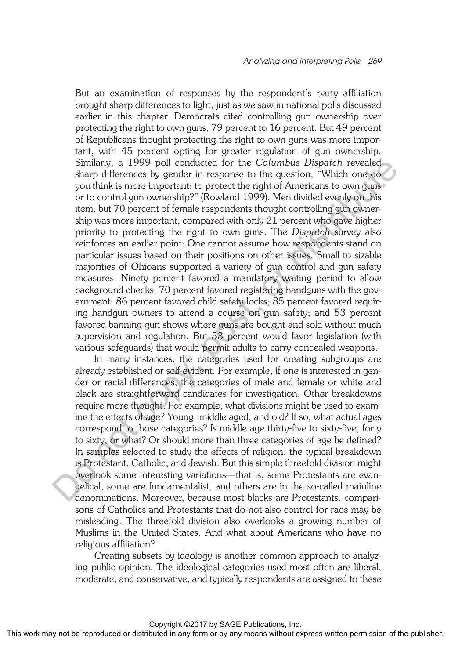But an examination of responses by the respondent's party affiliation brought sharp differences to light, just as we saw in national polls discussed earlier in this chapter. Democrats cited controlling gun ownership over protecting the right to own guns, 79 percent to 16 percent. But 49 percent of Republicans thought protecting the right to own guns was more important, with 45 percent opting for greater regulation of gun ownership. Similarly, a 1999 poll conducted for the *Columbus Dispatch* revealed sharp differences by gender in response to the question, "Which one do you think is more important: to protect the right of Americans to own guns or to control gun ownership?" (Rowland 1999). Men divided evenly on this item, but 70 percent of female respondents thought controlling gun ownership was more important, compared with only 21 percent who gave higher priority to protecting the right to own guns. The *Dispatch* survey also reinforces an earlier point: One cannot assume how respondents stand on particular issues based on their positions on other issues. Small to sizable majorities of Ohioans supported a variety of gun control and gun safety measures. Ninety percent favored a mandatory waiting period to allow background checks; 70 percent favored registering handguns with the government; 86 percent favored child safety locks; 85 percent favored requiring handgun owners to attend a course on gun safety; and 53 percent favored banning gun shows where guns are bought and sold without much supervision and regulation. But 53 percent would favor legislation (with various safeguards) that would permit adults to carry concealed weapons. Similarly, a 1999 poll conducted for the Columbus Dispatch revealed or sharp differences by gender in response to the question, "Which one do<br>you think is more important, to protect the right of Americans to own guns<br>or t

In many instances, the categories used for creating subgroups are already established or self-evident. For example, if one is interested in gender or racial differences, the categories of male and female or white and black are straightforward candidates for investigation. Other breakdowns require more thought. For example, what divisions might be used to examine the effects of age? Young, middle aged, and old? If so, what actual ages correspond to those categories? Is middle age thirty-five to sixty-five, forty to sixty, or what? Or should more than three categories of age be defined? In samples selected to study the effects of religion, the typical breakdown is Protestant, Catholic, and Jewish. But this simple threefold division might overlook some interesting variations—that is, some Protestants are evangelical, some are fundamentalist, and others are in the so-called mainline denominations. Moreover, because most blacks are Protestants, comparisons of Catholics and Protestants that do not also control for race may be misleading. The threefold division also overlooks a growing number of Muslims in the United States. And what about Americans who have no religious affiliation?

Creating subsets by ideology is another common approach to analyzing public opinion. The ideological categories used most often are liberal, moderate, and conservative, and typically respondents are assigned to these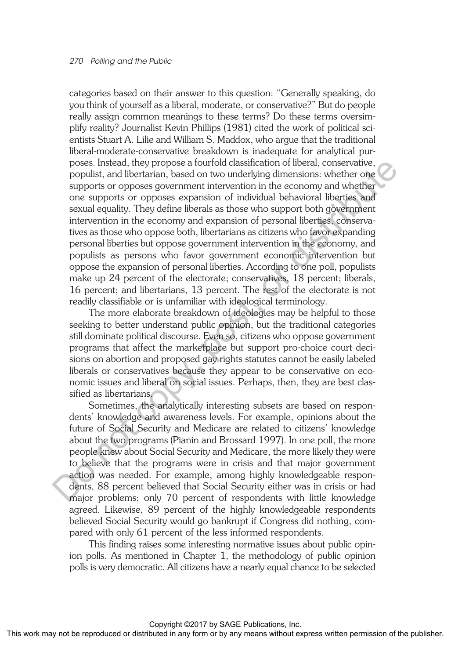#### *270 Polling and the Public*

categories based on their answer to this question: "Generally speaking, do you think of yourself as a liberal, moderate, or conservative?" But do people really assign common meanings to these terms? Do these terms oversimplify reality? Journalist Kevin Phillips (1981) cited the work of political scientists Stuart A. Lilie and William S. Maddox, who argue that the traditional liberal-moderate-conservative breakdown is inadequate for analytical purposes. Instead, they propose a fourfold classification of liberal, conservative, populist, and libertarian, based on two underlying dimensions: whether one supports or opposes government intervention in the economy and whether one supports or opposes expansion of individual behavioral liberties and sexual equality. They define liberals as those who support both government intervention in the economy and expansion of personal liberties, conservatives as those who oppose both, libertarians as citizens who favor expanding personal liberties but oppose government intervention in the economy, and populists as persons who favor government economic intervention but oppose the expansion of personal liberties. According to one poll, populists make up 24 percent of the electorate; conservatives, 18 percent; liberals, 16 percent; and libertarians, 13 percent. The rest of the electorate is not readily classifiable or is unfamiliar with ideological terminology. poses. Instead, they propose a clourble datastication of liberal, conservative, populist, and ithered on two underlying dimensions: whether one supports or opposes a covernment intervention in the economy and whether one s

The more elaborate breakdown of ideologies may be helpful to those seeking to better understand public opinion, but the traditional categories still dominate political discourse. Even so, citizens who oppose government programs that affect the marketplace but support pro-choice court decisions on abortion and proposed gay rights statutes cannot be easily labeled liberals or conservatives because they appear to be conservative on economic issues and liberal on social issues. Perhaps, then, they are best classified as libertarians.

Sometimes, the analytically interesting subsets are based on respondents' knowledge and awareness levels. For example, opinions about the future of Social Security and Medicare are related to citizens' knowledge about the two programs (Pianin and Brossard 1997). In one poll, the more people knew about Social Security and Medicare, the more likely they were to believe that the programs were in crisis and that major government action was needed. For example, among highly knowledgeable respondents, 88 percent believed that Social Security either was in crisis or had major problems; only 70 percent of respondents with little knowledge agreed. Likewise, 89 percent of the highly knowledgeable respondents believed Social Security would go bankrupt if Congress did nothing, compared with only 61 percent of the less informed respondents.

This finding raises some interesting normative issues about public opinion polls. As mentioned in Chapter 1, the methodology of public opinion polls is very democratic. All citizens have a nearly equal chance to be selected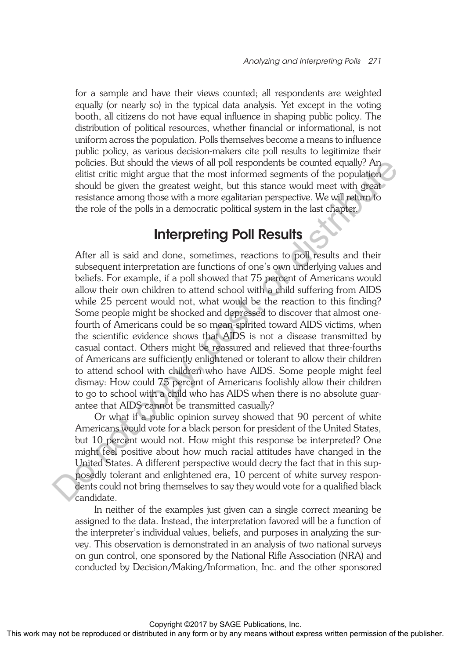for a sample and have their views counted; all respondents are weighted equally (or nearly so) in the typical data analysis. Yet except in the voting booth, all citizens do not have equal influence in shaping public policy. The distribution of political resources, whether financial or informational, is not uniform across the population. Polls themselves become a means to influence public policy, as various decision-makers cite poll results to legitimize their policies. But should the views of all poll respondents be counted equally? An elitist critic might argue that the most informed segments of the population should be given the greatest weight, but this stance would meet with great resistance among those with a more egalitarian perspective. We will return to the role of the polls in a democratic political system in the last chapter.

# Interpreting Poll Results

After all is said and done, sometimes, reactions to poll results and their subsequent interpretation are functions of one's own underlying values and beliefs. For example, if a poll showed that 75 percent of Americans would allow their own children to attend school with a child suffering from AIDS while 25 percent would not, what would be the reaction to this finding? Some people might be shocked and depressed to discover that almost onefourth of Americans could be so mean-spirited toward AIDS victims, when the scientific evidence shows that AIDS is not a disease transmitted by casual contact. Others might be reassured and relieved that three-fourths of Americans are sufficiently enlightened or tolerant to allow their children to attend school with children who have AIDS. Some people might feel dismay: How could 75 percent of Americans foolishly allow their children to go to school with a child who has AIDS when there is no absolute guarantee that AIDS cannot be transmitted casually? policies. But should the views of all poll respondents be counted equality? An elibits critic might argue that the most informed segments of the population should be given the greatest weight, but this stance would meet wi

Or what if a public opinion survey showed that 90 percent of white Americans would vote for a black person for president of the United States, but 10 percent would not. How might this response be interpreted? One might feel positive about how much racial attitudes have changed in the United States. A different perspective would decry the fact that in this supposedly tolerant and enlightened era, 10 percent of white survey respondents could not bring themselves to say they would vote for a qualified black candidate.

In neither of the examples just given can a single correct meaning be assigned to the data. Instead, the interpretation favored will be a function of the interpreter's individual values, beliefs, and purposes in analyzing the survey. This observation is demonstrated in an analysis of two national surveys on gun control, one sponsored by the National Rifle Association (NRA) and conducted by Decision/Making/Information, Inc. and the other sponsored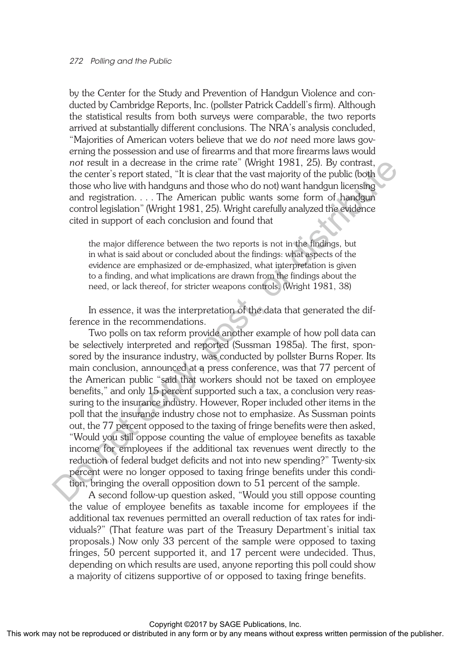by the Center for the Study and Prevention of Handgun Violence and conducted by Cambridge Reports, Inc. (pollster Patrick Caddell's firm). Although the statistical results from both surveys were comparable, the two reports arrived at substantially different conclusions. The NRA's analysis concluded, "Majorities of American voters believe that we do *not* need more laws governing the possession and use of firearms and that more firearms laws would *not* result in a decrease in the crime rate" (Wright 1981, 25). By contrast, the center's report stated, "It is clear that the vast majority of the public (both those who live with handguns and those who do not) want handgun licensing and registration. . . . The American public wants some form of handgun control legislation" (Wright 1981, 25). Wright carefully analyzed the evidence cited in support of each conclusion and found that

the major difference between the two reports is not in the findings, but in what is said about or concluded about the findings: what aspects of the evidence are emphasized or de-emphasized, what interpretation is given to a finding, and what implications are drawn from the findings about the need, or lack thereof, for stricter weapons controls. (Wright 1981, 38)

In essence, it was the interpretation of the data that generated the difference in the recommendations.

Two polls on tax reform provide another example of how poll data can be selectively interpreted and reported (Sussman 1985a). The first, sponsored by the insurance industry, was conducted by pollster Burns Roper. Its main conclusion, announced at a press conference, was that 77 percent of the American public "said that workers should not be taxed on employee benefits," and only 15 percent supported such a tax, a conclusion very reassuring to the insurance industry. However, Roper included other items in the poll that the insurance industry chose not to emphasize. As Sussman points out, the 77 percent opposed to the taxing of fringe benefits were then asked, "Would you still oppose counting the value of employee benefits as taxable income for employees if the additional tax revenues went directly to the reduction of federal budget deficits and not into new spending?" Twenty-six percent were no longer opposed to taxing fringe benefits under this condition, bringing the overall opposition down to 51 percent of the sample. not result in a decrease in the crime rate" (Wright 1981, 25). By contrast, the center's report stated, "It is clear that the wast majority of the public (both those who live with handguns and those who do not) want handgu

A second follow-up question asked, "Would you still oppose counting the value of employee benefits as taxable income for employees if the additional tax revenues permitted an overall reduction of tax rates for individuals?" (That feature was part of the Treasury Department's initial tax proposals.) Now only 33 percent of the sample were opposed to taxing fringes, 50 percent supported it, and 17 percent were undecided. Thus, depending on which results are used, anyone reporting this poll could show a majority of citizens supportive of or opposed to taxing fringe benefits.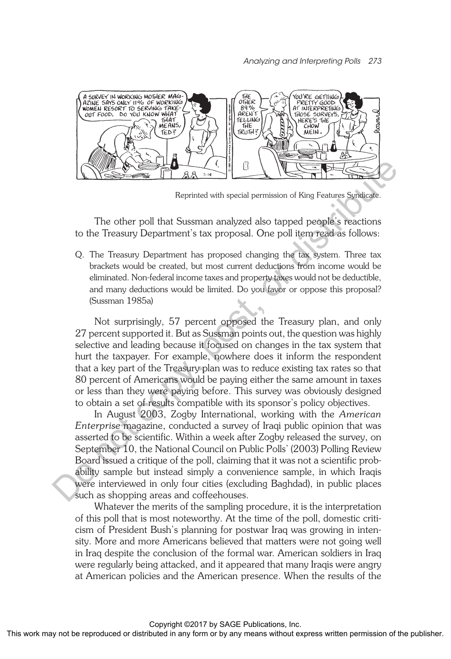

Reprinted with special permission of King Features Syndicate.

The other poll that Sussman analyzed also tapped people's reactions to the Treasury Department's tax proposal. One poll item read as follows:

Q. The Treasury Department has proposed changing the tax system. Three tax brackets would be created, but most current deductions from income would be eliminated. Non-federal income taxes and property taxes would not be deductible, and many deductions would be limited. Do you favor or oppose this proposal? (Sussman 1985a)

Not surprisingly, 57 percent opposed the Treasury plan, and only 27 percent supported it. But as Sussman points out, the question was highly selective and leading because it focused on changes in the tax system that hurt the taxpayer. For example, nowhere does it inform the respondent that a key part of the Treasury plan was to reduce existing tax rates so that 80 percent of Americans would be paying either the same amount in taxes or less than they were paying before. This survey was obviously designed to obtain a set of results compatible with its sponsor's policy objectives. **Possible 1974**<br> **Example 1984**<br> **Example 1984**<br> **Examples the system of King Features System.**<br>
The other poll that Sussman analyzed also tapped people's reactions<br>
to the Treasury Department's tax proposal. One poll ite

In August 2003, Zogby International, working with the *American Enterprise* magazine, conducted a survey of Iraqi public opinion that was asserted to be scientific. Within a week after Zogby released the survey, on September 10, the National Council on Public Polls' (2003) Polling Review Board issued a critique of the poll, claiming that it was not a scientific probability sample but instead simply a convenience sample, in which Iraqis were interviewed in only four cities (excluding Baghdad), in public places such as shopping areas and coffeehouses.

Whatever the merits of the sampling procedure, it is the interpretation of this poll that is most noteworthy. At the time of the poll, domestic criticism of President Bush's planning for postwar Iraq was growing in intensity. More and more Americans believed that matters were not going well in Iraq despite the conclusion of the formal war. American soldiers in Iraq were regularly being attacked, and it appeared that many Iraqis were angry at American policies and the American presence. When the results of the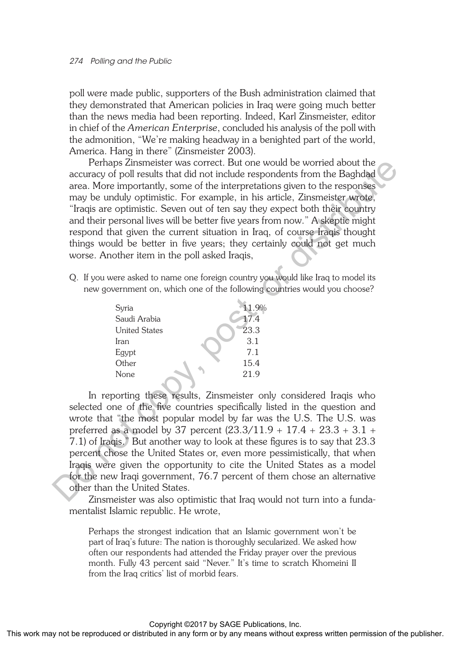poll were made public, supporters of the Bush administration claimed that they demonstrated that American policies in Iraq were going much better than the news media had been reporting. Indeed, Karl Zinsmeister, editor in chief of the *American Enterprise*, concluded his analysis of the poll with the admonition, "We're making headway in a benighted part of the world, America. Hang in there" (Zinsmeister 2003).

Perhaps Zinsmeister was correct. But one would be worried about the accuracy of poll results that did not include respondents from the Baghdad area. More importantly, some of the interpretations given to the responses may be unduly optimistic. For example, in his article, Zinsmeister wrote, "Iraqis are optimistic. Seven out of ten say they expect both their country and their personal lives will be better five years from now." A skeptic might respond that given the current situation in Iraq, of course Iraqis thought things would be better in five years; they certainly could not get much worse. Another item in the poll asked Iraqis, Ferhaps Zinsmiester was correct. But one would be worrich about the<br>
recursey of poll results that did not include respondents from the Baghdad<br>
area. More importantly, some of the interpretations given to the responses<br>
m

Q. If you were asked to name one foreign country you would like Iraq to model its new government on, which one of the following countries would you choose?

| 11.9% |
|-------|
| 17.4  |
| 23.3  |
|       |
|       |
| 15.4  |
| 21.9  |
|       |

In reporting these results, Zinsmeister only considered Iraqis who selected one of the five countries specifically listed in the question and wrote that "the most popular model by far was the U.S. The U.S. was preferred as a model by 37 percent  $(23.3/11.9 + 17.4 + 23.3 + 3.1 +$ 7.1) of Iraqis." But another way to look at these figures is to say that 23.3 percent chose the United States or, even more pessimistically, that when Iraqis were given the opportunity to cite the United States as a model for the new Iraqi government, 76.7 percent of them chose an alternative other than the United States.

Zinsmeister was also optimistic that Iraq would not turn into a fundamentalist Islamic republic. He wrote,

Perhaps the strongest indication that an Islamic government won't be part of Iraq's future: The nation is thoroughly secularized. We asked how often our respondents had attended the Friday prayer over the previous month. Fully 43 percent said "Never." It's time to scratch Khomeini II from the Iraq critics' list of morbid fears.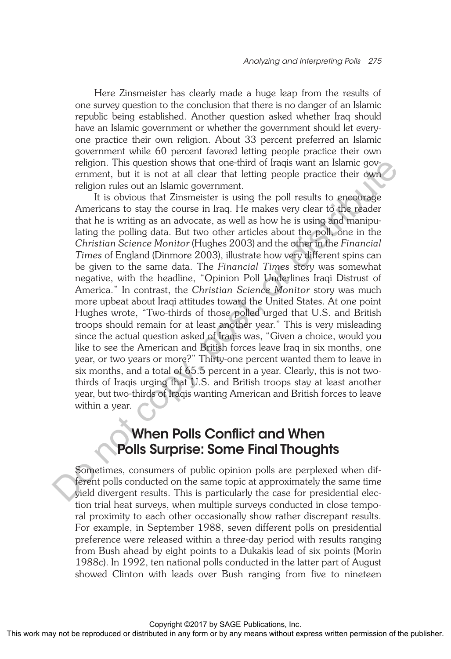Here Zinsmeister has clearly made a huge leap from the results of one survey question to the conclusion that there is no danger of an Islamic republic being established. Another question asked whether Iraq should have an Islamic government or whether the government should let everyone practice their own religion. About 33 percent preferred an Islamic government while 60 percent favored letting people practice their own religion. This question shows that one-third of Iraqis want an Islamic government, but it is not at all clear that letting people practice their own religion rules out an Islamic government.

It is obvious that Zinsmeister is using the poll results to encourage Americans to stay the course in Iraq. He makes very clear to the reader that he is writing as an advocate, as well as how he is using and manipulating the polling data. But two other articles about the poll, one in the *Christian Science Monitor* (Hughes 2003) and the other in the *Financial Times* of England (Dinmore 2003), illustrate how very different spins can be given to the same data. The *Financial Times* story was somewhat negative, with the headline, "Opinion Poll Underlines Iraqi Distrust of America." In contrast, the *Christian Science Monitor* story was much more upbeat about Iraqi attitudes toward the United States. At one point Hughes wrote, "Two-thirds of those polled urged that U.S. and British troops should remain for at least another year." This is very misleading since the actual question asked of Iraqis was, "Given a choice, would you like to see the American and British forces leave Iraq in six months, one year, or two years or more?" Thirty-one percent wanted them to leave in six months, and a total of 65.5 percent in a year. Clearly, this is not twothirds of Iraqis urging that U.S. and British troops stay at least another year, but two-thirds of Iraqis wanting American and British forces to leave within a year. religion. This question shows that one-third of lragis want an Islamic government, but it is not at all clear that letting people practice their own religion rules out an Islamic government.<br>
It is obvious that Zimsmeiser

# When Polls Conflict and When Polls Surprise: Some Final Thoughts

Sometimes, consumers of public opinion polls are perplexed when different polls conducted on the same topic at approximately the same time yield divergent results. This is particularly the case for presidential election trial heat surveys, when multiple surveys conducted in close temporal proximity to each other occasionally show rather discrepant results. For example, in September 1988, seven different polls on presidential preference were released within a three-day period with results ranging from Bush ahead by eight points to a Dukakis lead of six points (Morin 1988c). In 1992, ten national polls conducted in the latter part of August showed Clinton with leads over Bush ranging from five to nineteen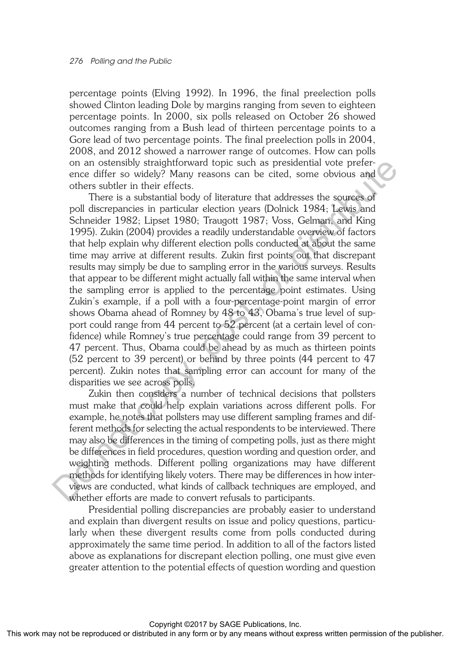percentage points (Elving 1992). In 1996, the final preelection polls showed Clinton leading Dole by margins ranging from seven to eighteen percentage points. In 2000, six polls released on October 26 showed outcomes ranging from a Bush lead of thirteen percentage points to a Gore lead of two percentage points. The final preelection polls in 2004, 2008, and 2012 showed a narrower range of outcomes. How can polls on an ostensibly straightforward topic such as presidential vote preference differ so widely? Many reasons can be cited, some obvious and others subtler in their effects.

There is a substantial body of literature that addresses the sources of poll discrepancies in particular election years (Dolnick 1984; Lewis and Schneider 1982; Lipset 1980; Traugott 1987; Voss, Gelman, and King 1995). Zukin (2004) provides a readily understandable overview of factors that help explain why different election polls conducted at about the same time may arrive at different results. Zukin first points out that discrepant results may simply be due to sampling error in the various surveys. Results that appear to be different might actually fall within the same interval when the sampling error is applied to the percentage point estimates. Using Zukin's example, if a poll with a four-percentage-point margin of error shows Obama ahead of Romney by 48 to 43, Obama's true level of support could range from 44 percent to 52 percent (at a certain level of confidence) while Romney's true percentage could range from 39 percent to 47 percent. Thus, Obama could be ahead by as much as thirteen points (52 percent to 39 percent) or behind by three points (44 percent to 47 percent). Zukin notes that sampling error can account for many of the disparities we see across polls. on an ostensibly straightforoward to pic such as presidential woe prelation and one conters so whethey. Many reasons can be cited, some obvious and others subtler in their effects.<br>
There is a substantial body of literatur

Zukin then considers a number of technical decisions that pollsters must make that could help explain variations across different polls. For example, he notes that pollsters may use different sampling frames and different methods for selecting the actual respondents to be interviewed. There may also be differences in the timing of competing polls, just as there might be differences in field procedures, question wording and question order, and weighting methods. Different polling organizations may have different methods for identifying likely voters. There may be differences in how interviews are conducted, what kinds of callback techniques are employed, and whether efforts are made to convert refusals to participants.

Presidential polling discrepancies are probably easier to understand and explain than divergent results on issue and policy questions, particularly when these divergent results come from polls conducted during approximately the same time period. In addition to all of the factors listed above as explanations for discrepant election polling, one must give even greater attention to the potential effects of question wording and question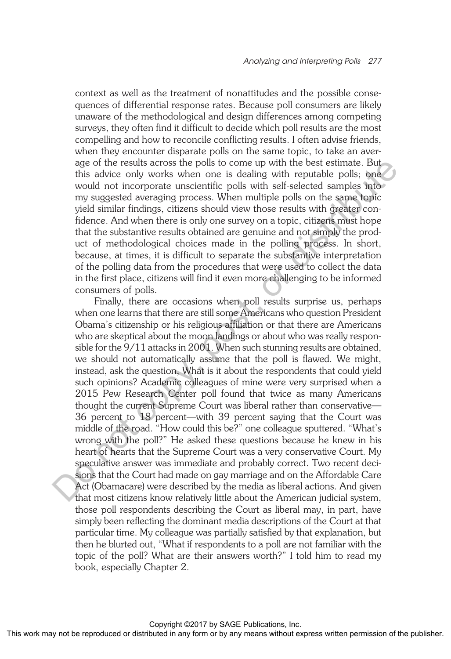context as well as the treatment of nonattitudes and the possible consequences of differential response rates. Because poll consumers are likely unaware of the methodological and design differences among competing surveys, they often find it difficult to decide which poll results are the most compelling and how to reconcile conflicting results. I often advise friends, when they encounter disparate polls on the same topic, to take an average of the results across the polls to come up with the best estimate. But this advice only works when one is dealing with reputable polls; one would not incorporate unscientific polls with self-selected samples into my suggested averaging process. When multiple polls on the same topic yield similar findings, citizens should view those results with greater confidence. And when there is only one survey on a topic, citizens must hope that the substantive results obtained are genuine and not simply the product of methodological choices made in the polling process. In short, because, at times, it is difficult to separate the substantive interpretation of the polling data from the procedures that were used to collect the data in the first place, citizens will find it even more challenging to be informed consumers of polls.

Finally, there are occasions when poll results surprise us, perhaps when one learns that there are still some Americans who question President Obama's citizenship or his religious affiliation or that there are Americans who are skeptical about the moon landings or about who was really responsible for the 9/11 attacks in 2001. When such stunning results are obtained, we should not automatically assume that the poll is flawed. We might, instead, ask the question, What is it about the respondents that could yield such opinions? Academic colleagues of mine were very surprised when a 2015 Pew Research Center poll found that twice as many Americans thought the current Supreme Court was liberal rather than conservative— 36 percent to 18 percent—with 39 percent saying that the Court was middle of the road. "How could this be?" one colleague sputtered. "What's wrong with the poll?" He asked these questions because he knew in his heart of hearts that the Supreme Court was a very conservative Court. My speculative answer was immediate and probably correct. Two recent decisions that the Court had made on gay marriage and on the Affordable Care Act (Obamacare) were described by the media as liberal actions. And given that most citizens know relatively little about the American judicial system, those poll respondents describing the Court as liberal may, in part, have simply been reflecting the dominant media descriptions of the Court at that particular time. My colleague was partially satisfied by that explanation, but then he blurted out, "What if respondents to a poll are not familiar with the topic of the poll? What are their answers worth?" I told him to read my book, especially Chapter 2. age of the results across the polit to come up with the best estimate. But<br>any othy show the set staing with reputable polis, one<br>would not incorporate unscientific polis with self-selected samples into<br>my suggested averag